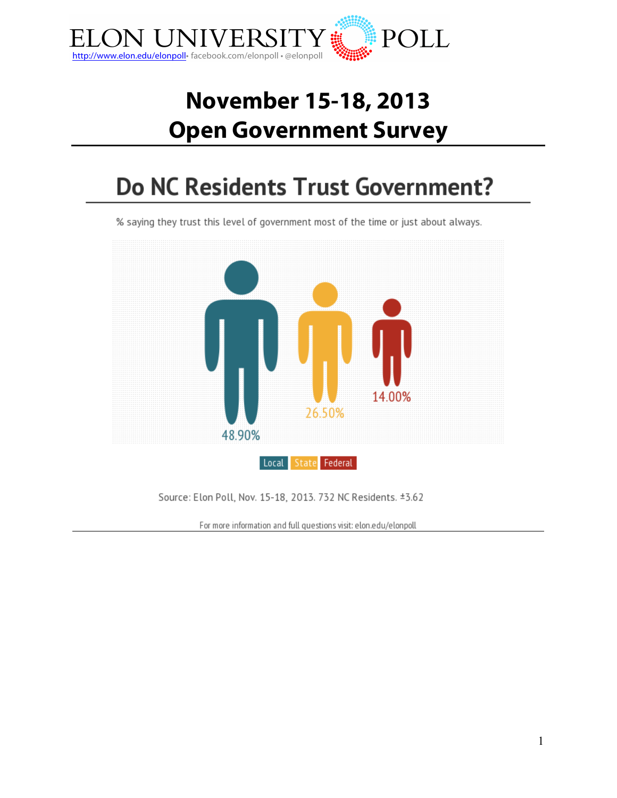

# **November 15-18, 2013 Open Government Survey**

# **Do NC Residents Trust Government?**

% saying they trust this level of government most of the time or just about always.



Source: Elon Poll, Nov. 15-18, 2013. 732 NC Residents. ±3.62

For more information and full questions visit: elon.edu/elonpoll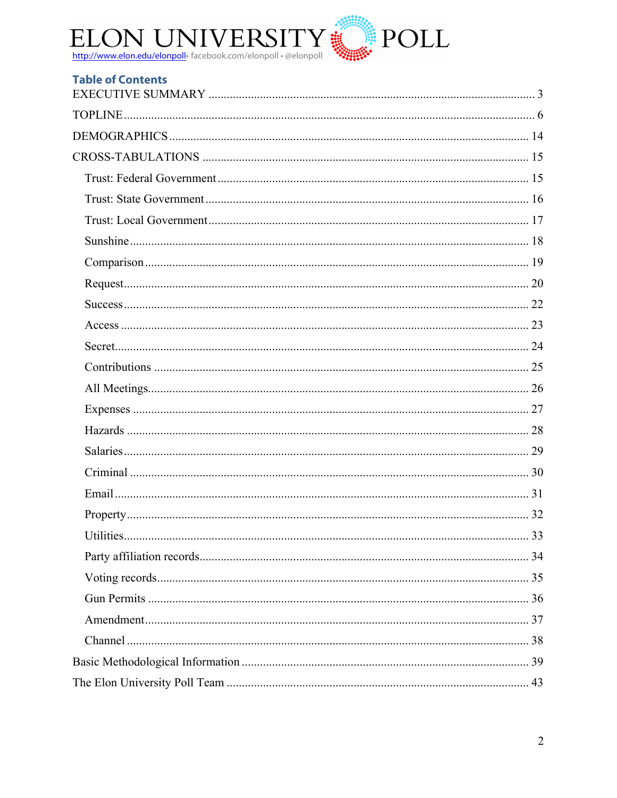

| <b>Table of Contents</b> |  |
|--------------------------|--|
|                          |  |
|                          |  |
|                          |  |
|                          |  |
|                          |  |
|                          |  |
|                          |  |
|                          |  |
|                          |  |
|                          |  |
|                          |  |
|                          |  |
|                          |  |
|                          |  |
|                          |  |
|                          |  |
|                          |  |
|                          |  |
|                          |  |
|                          |  |
|                          |  |
|                          |  |
|                          |  |
|                          |  |
|                          |  |
|                          |  |
|                          |  |
|                          |  |
|                          |  |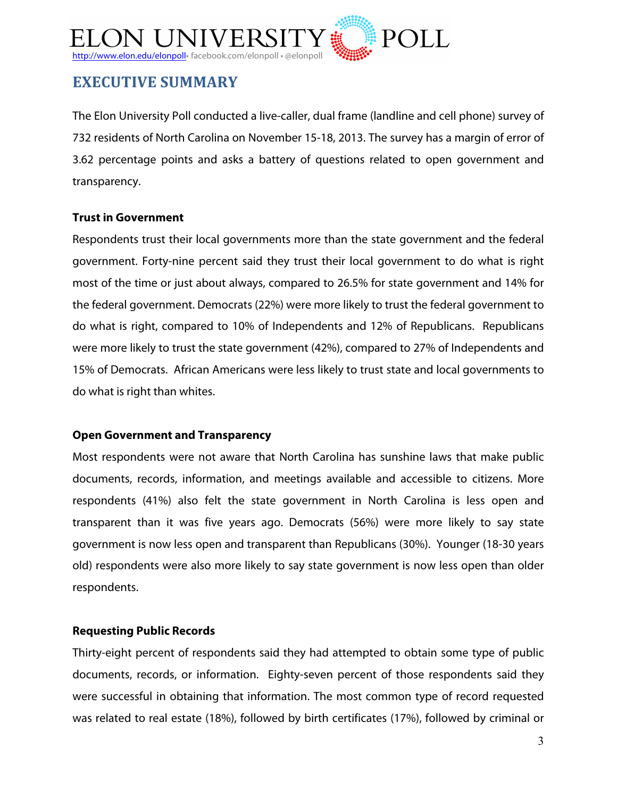

# **EXECUTIVE SUMMARY**

The Elon University Poll conducted a live-caller, dual frame (landline and cell phone) survey of 732 residents of North Carolina on November 15-18, 2013. The survey has a margin of error of 3.62 percentage points and asks a battery of questions related to open government and transparency.

#### **Trust in Government**

Respondents trust their local governments more than the state government and the federal government. Forty-nine percent said they trust their local government to do what is right most of the time or just about always, compared to 26.5% for state government and 14% for the federal government. Democrats (22%) were more likely to trust the federal government to do what is right, compared to 10% of Independents and 12% of Republicans. Republicans were more likely to trust the state government (42%), compared to 27% of Independents and 15% of Democrats. African Americans were less likely to trust state and local governments to do what is right than whites.

### **Open Government and Transparency**

Most respondents were not aware that North Carolina has sunshine laws that make public documents, records, information, and meetings available and accessible to citizens. More respondents (41%) also felt the state government in North Carolina is less open and transparent than it was five years ago. Democrats (56%) were more likely to say state government is now less open and transparent than Republicans (30%). Younger (18-30 years old) respondents were also more likely to say state government is now less open than older respondents.

### **Requesting Public Records**

Thirty-eight percent of respondents said they had attempted to obtain some type of public documents, records, or information. Eighty-seven percent of those respondents said they were successful in obtaining that information. The most common type of record requested was related to real estate (18%), followed by birth certificates (17%), followed by criminal or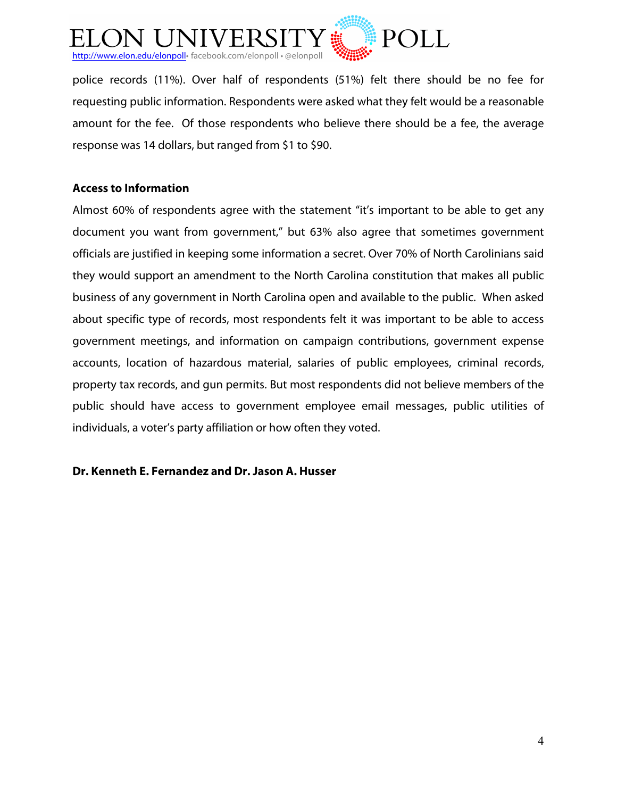

police records (11%). Over half of respondents (51%) felt there should be no fee for requesting public information. Respondents were asked what they felt would be a reasonable amount for the fee. Of those respondents who believe there should be a fee, the average response was 14 dollars, but ranged from \$1 to \$90.

### **Access to Information**

Almost 60% of respondents agree with the statement "it's important to be able to get any document you want from government," but 63% also agree that sometimes government officials are justified in keeping some information a secret. Over 70% of North Carolinians said they would support an amendment to the North Carolina constitution that makes all public business of any government in North Carolina open and available to the public. When asked about specific type of records, most respondents felt it was important to be able to access government meetings, and information on campaign contributions, government expense accounts, location of hazardous material, salaries of public employees, criminal records, property tax records, and gun permits. But most respondents did not believe members of the public should have access to government employee email messages, public utilities of individuals, a voter's party affiliation or how often they voted.

### **Dr. Kenneth E. Fernandez and Dr. Jason A. Husser**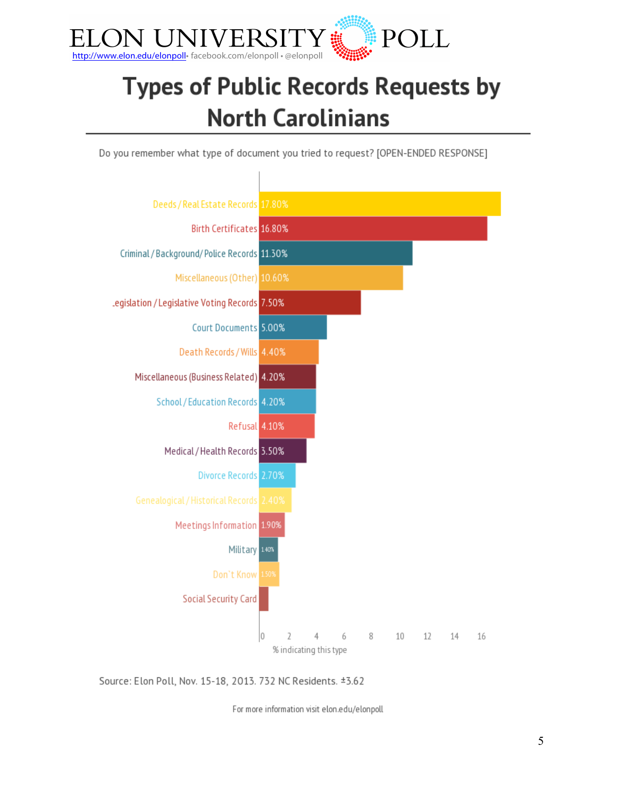

# **Types of Public Records Requests by North Carolinians**

Do you remember what type of document you tried to request? [OPEN-ENDED RESPONSE]



Source: Elon Poll, Nov. 15-18, 2013. 732 NC Residents. ±3.62

For more information visit elon.edu/elonpoll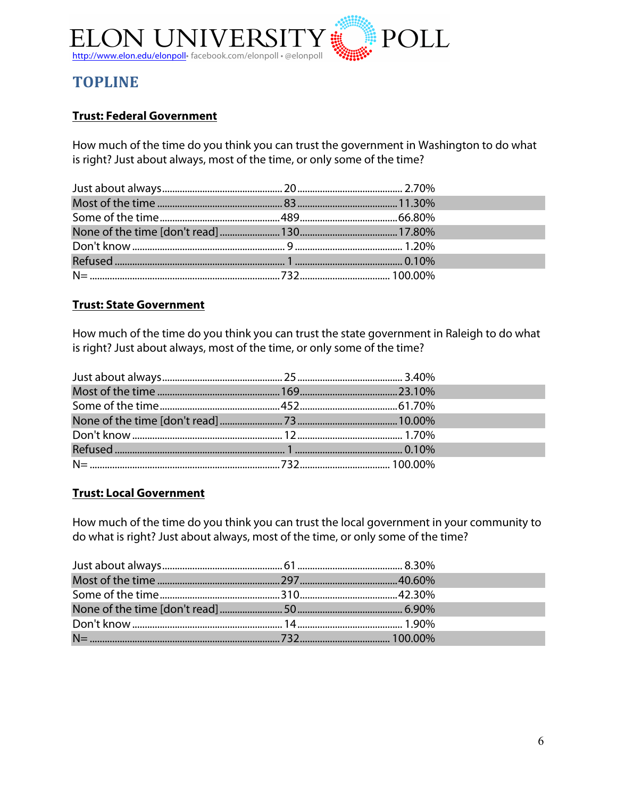

# **TOPLINE**

### **Trust: Federal Government**

How much of the time do you think you can trust the government in Washington to do what is right? Just about always, most of the time, or only some of the time?

### **Trust: State Government**

How much of the time do you think you can trust the state government in Raleigh to do what is right? Just about always, most of the time, or only some of the time?

### **Trust: Local Government**

How much of the time do you think you can trust the local government in your community to do what is right? Just about always, most of the time, or only some of the time?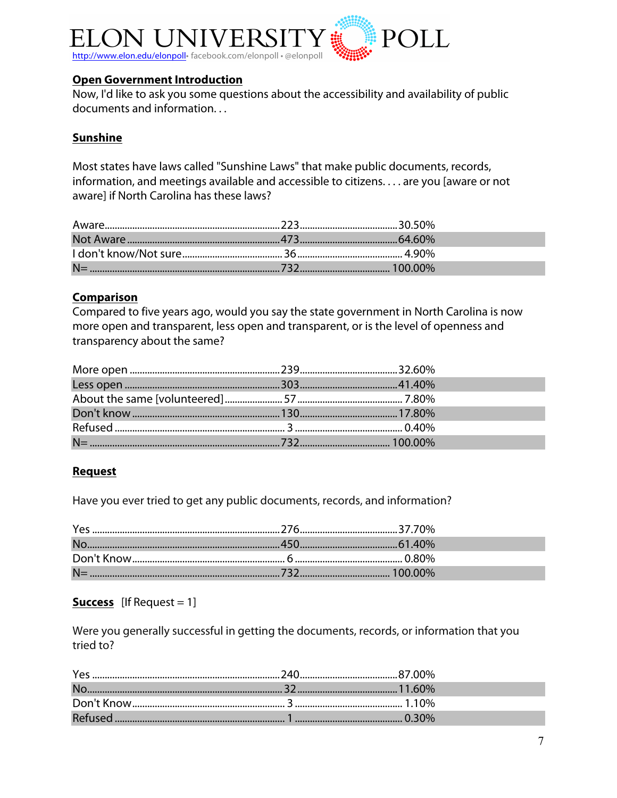

### **Open Government Introduction**

Now, I'd like to ask you some questions about the accessibility and availability of public documents and information. . .

### **Sunshine**

Most states have laws called "Sunshine Laws" that make public documents, records, information, and meetings available and accessible to citizens. . . . are you [aware or not aware] if North Carolina has these laws?

### **Comparison**

Compared to five years ago, would you say the state government in North Carolina is now more open and transparent, less open and transparent, or is the level of openness and transparency about the same?

### **Request**

Have you ever tried to get any public documents, records, and information?

### **Success** [If Request = 1]

Were you generally successful in getting the documents, records, or information that you tried to?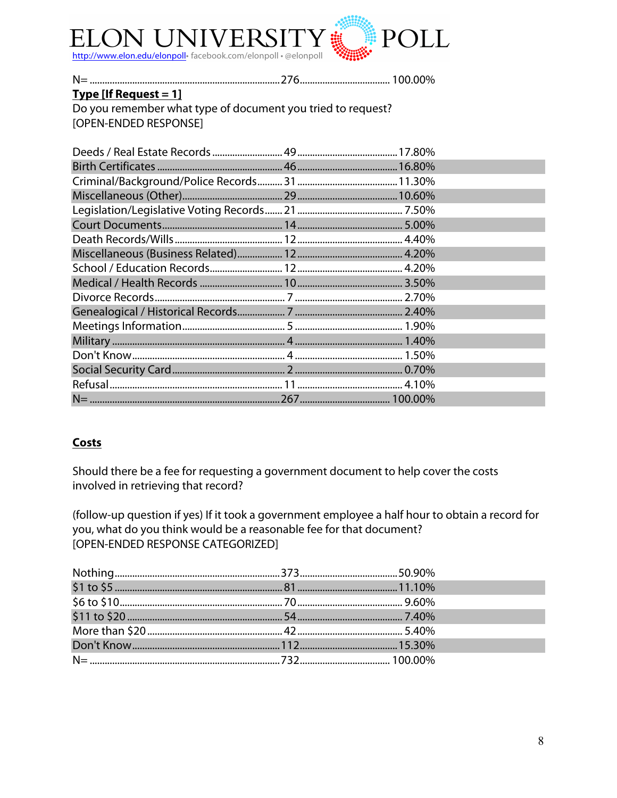

### Type [If Request  $= 1$ ]

Do you remember what type of document you tried to request? [OPEN-ENDED RESPONSE]

# Costs

Should there be a fee for requesting a government document to help cover the costs involved in retrieving that record?

(follow-up question if yes) If it took a government employee a half hour to obtain a record for you, what do you think would be a reasonable fee for that document? [OPEN-ENDED RESPONSE CATEGORIZED]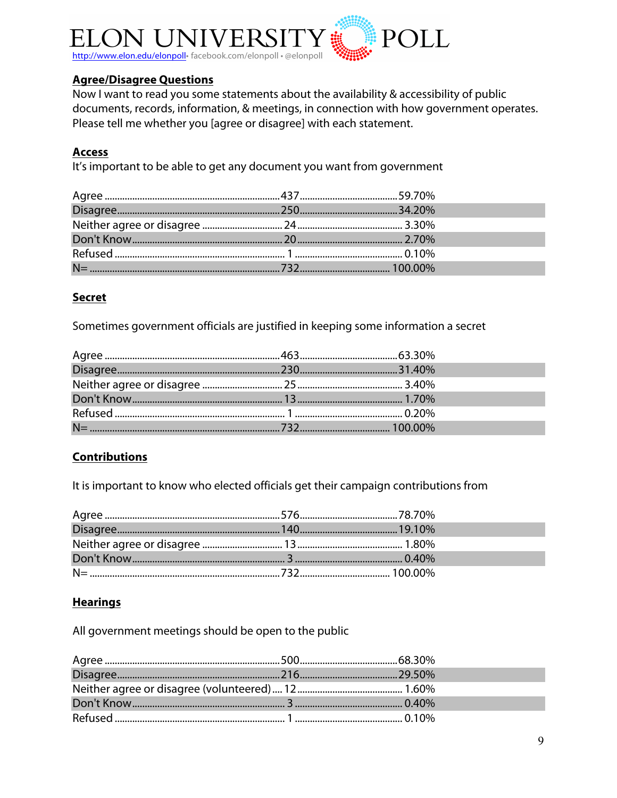

### **Agree/Disagree Questions**

Now I want to read you some statements about the availability & accessibility of public documents, records, information, & meetings, in connection with how government operates. Please tell me whether you [agree or disagree] with each statement.

### **Access**

It's important to be able to get any document you want from government

### <u>Secret</u>

Sometimes government officials are justified in keeping some information a secret

### **Contributions**

It is important to know who elected officials get their campaign contributions from

### **Hearings**

All government meetings should be open to the public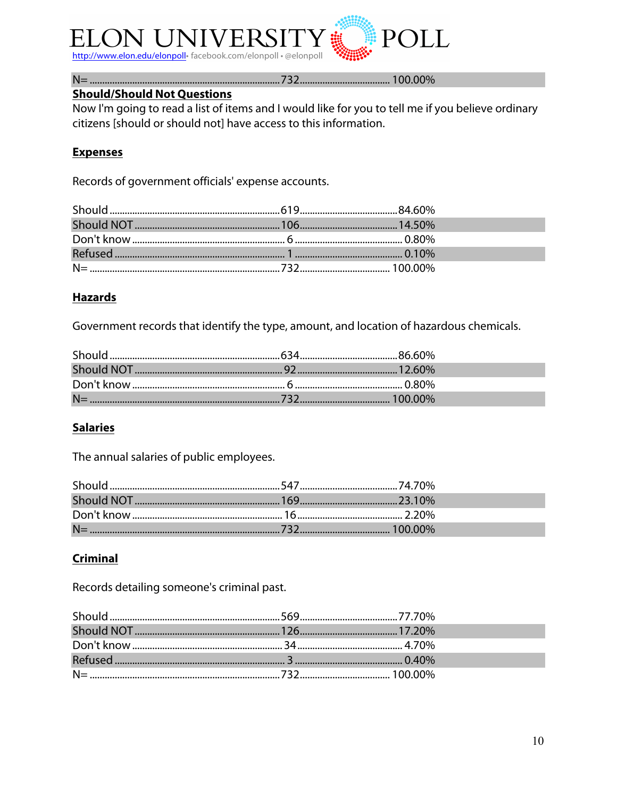

### **Should/Should Not Questions**

Now I'm going to read a list of items and I would like for you to tell me if you believe ordinary citizens [should or should not] have access to this information.

### **Expenses**

Records of government officials' expense accounts.

### **Hazards**

Government records that identify the type, amount, and location of hazardous chemicals.

### **Salaries**

The annual salaries of public employees.

### **Criminal**

Records detailing someone's criminal past.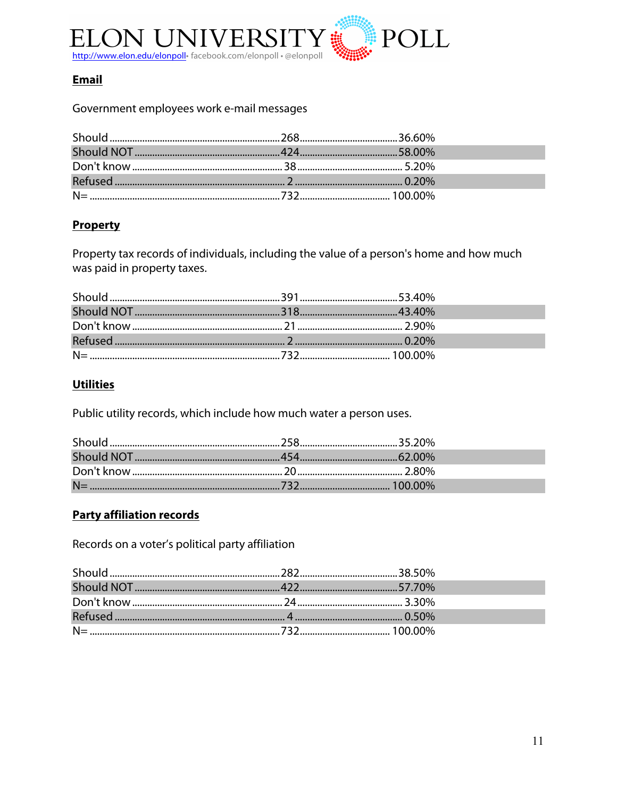

### **Email**

Government employees work e-mail messages

### **Property**

Property tax records of individuals, including the value of a person's home and how much was paid in property taxes.

### **Utilities**

Public utility records, which include how much water a person uses.

### **Party affiliation records**

Records on a voter's political party affiliation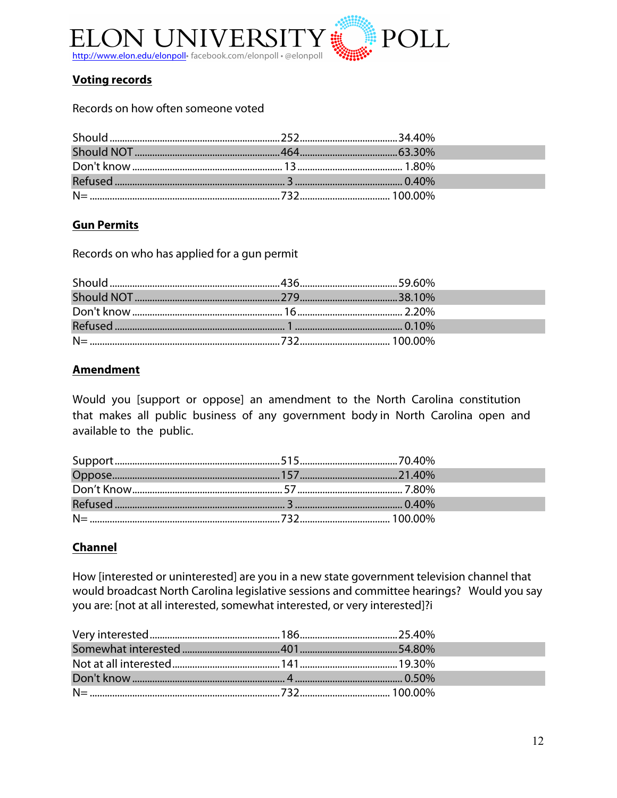

### **Voting records**

### Records on how often someone voted

### **Gun Permits**

Records on who has applied for a gun permit

#### **Amendment**

Would you [support or oppose] an amendment to the North Carolina constitution that makes all public business of any government body in North Carolina open and available to the public.

### **Channel**

How [interested or uninterested] are you in a new state government television channel that would broadcast North Carolina legislative sessions and committee hearings? Would you say you are: [not at all interested, somewhat interested, or very interested]?i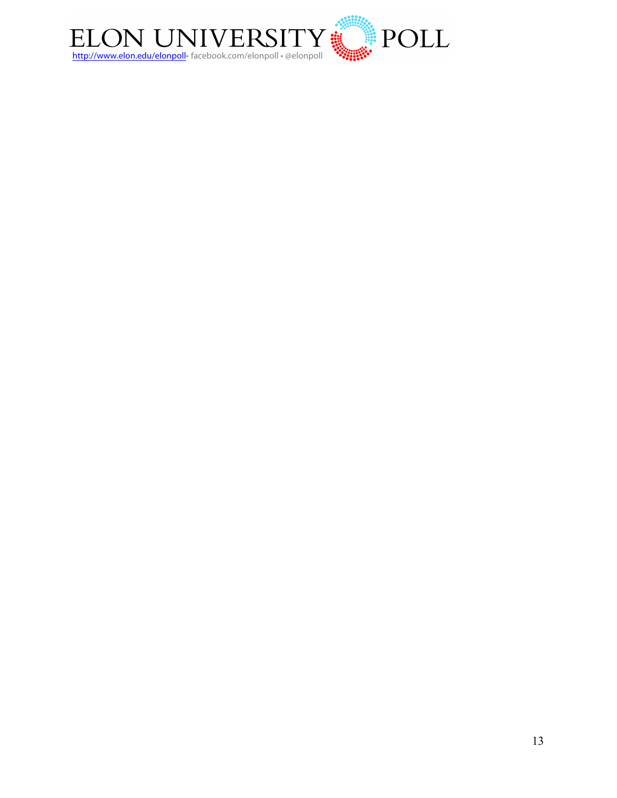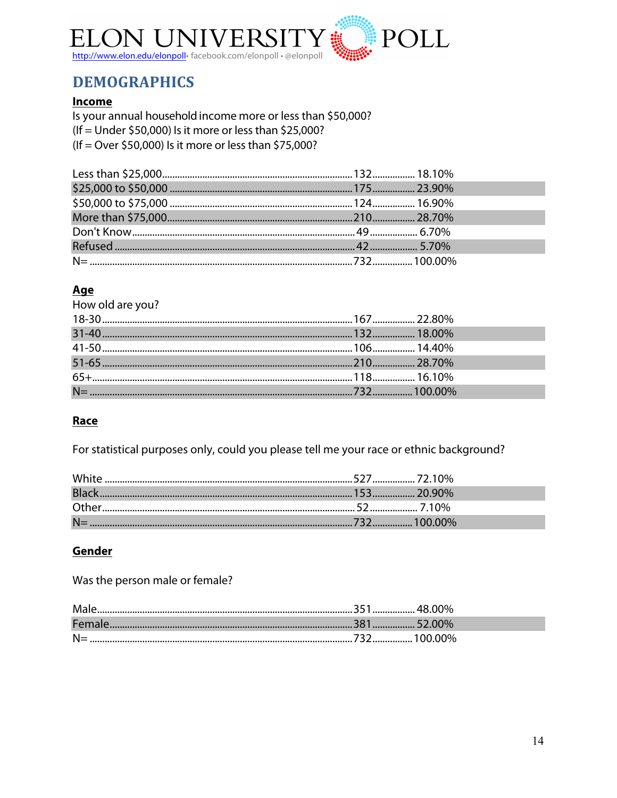

# **DEMOGRAPHICS**

### **Income**

Is your annual household income more or less than \$50,000?  $($ If = Under \$50,000) Is it more or less than \$25,000?  $($ If = Over \$50,000) Is it more or less than \$75,000?

# Age

| How old are you? |  |
|------------------|--|
|                  |  |
|                  |  |
|                  |  |
|                  |  |
|                  |  |
|                  |  |

### Race

For statistical purposes only, could you please tell me your race or ethnic background?

### Gender

Was the person male or female?

| $N =$<br>- ………………………………………………………………………………………………732…………… 100.00% |  |
|-----------------------------------------------------------------|--|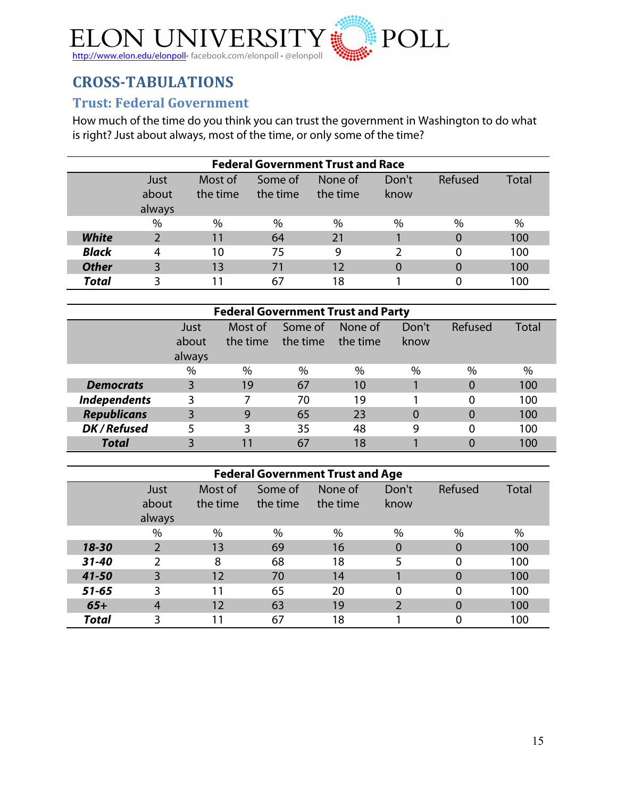

# **CROSS-TABULATIONS**

# **Trust: Federal Government**

How much of the time do you think you can trust the government in Washington to do what is right? Just about always, most of the time, or only some of the time?

| <b>Federal Government Trust and Race</b> |                 |          |          |          |       |         |       |  |  |  |
|------------------------------------------|-----------------|----------|----------|----------|-------|---------|-------|--|--|--|
|                                          | Just            | Most of  | Some of  | None of  | Don't | Refused | Total |  |  |  |
|                                          | about<br>always | the time | the time | the time | know  |         |       |  |  |  |
|                                          | $\%$            | $\%$     | %        | $\%$     | $\%$  | $\%$    | $\%$  |  |  |  |
| <b>White</b>                             |                 | 11       | 64       | 21       |       | 0       | 100   |  |  |  |
| <b>Black</b>                             | 4               | 10       | 75       | 9        | C     | 0       | 100   |  |  |  |
| <b>Other</b>                             | 3               | 13       | 71       | 12       |       | 0       | 100   |  |  |  |
| <b>Total</b>                             |                 |          | 67       | 18       |       |         | 100   |  |  |  |

| <b>Federal Government Trust and Party</b> |        |          |          |          |       |         |       |  |  |
|-------------------------------------------|--------|----------|----------|----------|-------|---------|-------|--|--|
|                                           | Just   | Most of  | Some of  | None of  | Don't | Refused | Total |  |  |
|                                           | about  | the time | the time | the time | know  |         |       |  |  |
|                                           | always |          |          |          |       |         |       |  |  |
|                                           | $\%$   | $\%$     | $\%$     | $\%$     | $\%$  | %       | $\%$  |  |  |
| <b>Democrats</b>                          | 3      | 19       | 67       | 10       |       | 0       | 100   |  |  |
| <b>Independents</b>                       | 3      |          | 70       | 19       |       | 0       | 100   |  |  |
| <b>Republicans</b>                        | 3      | 9        | 65       | 23       | 0     | 0       | 100   |  |  |
| <b>DK/Refused</b>                         |        | 3        | 35       | 48       | 9     | 0       | 100   |  |  |
| <b>Total</b>                              |        | 11       | 67       | 18       |       | 0       | 100   |  |  |

| <b>Federal Government Trust and Age</b> |        |          |          |          |          |         |       |  |  |  |
|-----------------------------------------|--------|----------|----------|----------|----------|---------|-------|--|--|--|
|                                         | Just   | Most of  | Some of  | None of  | Don't    | Refused | Total |  |  |  |
|                                         | about  | the time | the time | the time | know     |         |       |  |  |  |
|                                         | always |          |          |          |          |         |       |  |  |  |
|                                         | %      | $\%$     | $\%$     | $\%$     | $\%$     | %       | %     |  |  |  |
| 18-30                                   | 2      | 13       | 69       | 16       | $\Omega$ | 0       | 100   |  |  |  |
| $31 - 40$                               | 2      | 8        | 68       | 18       |          | 0       | 100   |  |  |  |
| 41-50                                   | 3      | 12       | 70       | 14       |          | 0       | 100   |  |  |  |
| $51 - 65$                               | 3      | 11       | 65       | 20       | 0        | 0       | 100   |  |  |  |
| $65+$                                   | 4      | 12       | 63       | 19       | 2        | 0       | 100   |  |  |  |
| <b>Total</b>                            |        | 11       | 67       | 18       |          | 0       | 100   |  |  |  |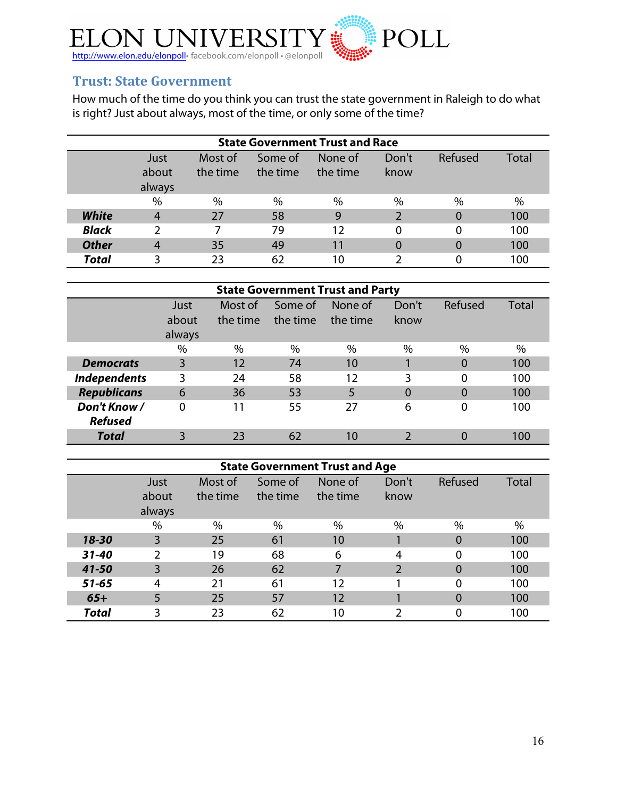

# **Trust: State Government**

How much of the time do you think you can trust the state government in Raleigh to do what is right? Just about always, most of the time, or only some of the time?

| <b>State Government Trust and Race</b> |                |          |          |          |       |                |       |  |  |  |
|----------------------------------------|----------------|----------|----------|----------|-------|----------------|-------|--|--|--|
|                                        | Just           | Most of  | Some of  | None of  | Don't | Refused        | Total |  |  |  |
|                                        | about          | the time | the time | the time | know  |                |       |  |  |  |
|                                        | always         |          |          |          |       |                |       |  |  |  |
|                                        | %              | $\%$     | $\%$     | $\%$     | $\%$  | $\%$           | %     |  |  |  |
| <b>White</b>                           | 4              | 27       | 58       | 9        |       | $\overline{0}$ | 100   |  |  |  |
| <b>Black</b>                           | C              |          | 79       | 12       | 0     | 0              | 100   |  |  |  |
| <b>Other</b>                           | $\overline{4}$ | 35       | 49       | 11       | 0     | 0              | 100   |  |  |  |
| <b>Total</b>                           |                | 23       | 62       | 10       |       | 0              | 100   |  |  |  |

| <b>State Government Trust and Party</b> |        |          |          |          |          |          |       |  |
|-----------------------------------------|--------|----------|----------|----------|----------|----------|-------|--|
|                                         | Just   | Most of  | Some of  | None of  | Don't    | Refused  | Total |  |
|                                         | about  | the time | the time | the time | know     |          |       |  |
|                                         | always |          |          |          |          |          |       |  |
|                                         | %      | $\%$     | %        | $\%$     | $\%$     | $\%$     | $\%$  |  |
| <b>Democrats</b>                        | 3      | 12       | 74       | 10       |          | $\Omega$ | 100   |  |
| <b>Independents</b>                     | 3      | 24       | 58       | 12       | 3        | $\Omega$ | 100   |  |
| <b>Republicans</b>                      | 6      | 36       | 53       | 5        | $\Omega$ | $\Omega$ | 100   |  |
| Don't Know /                            | 0      | 11       | 55       | 27       | 6        | 0        | 100   |  |
| <b>Refused</b>                          |        |          |          |          |          |          |       |  |
| <b>Total</b>                            |        | 23       | 62       | 10       |          | 0        | 100   |  |

| <b>State Government Trust and Age</b> |        |          |          |          |       |          |       |  |  |  |
|---------------------------------------|--------|----------|----------|----------|-------|----------|-------|--|--|--|
|                                       | Just   | Most of  | Some of  | None of  | Don't | Refused  | Total |  |  |  |
|                                       | about  | the time | the time | the time | know  |          |       |  |  |  |
|                                       | always |          |          |          |       |          |       |  |  |  |
|                                       | %      | $\%$     | %        | %        | $\%$  | $\%$     | %     |  |  |  |
| 18-30                                 | 3      | 25       | 61       | 10       |       | 0        | 100   |  |  |  |
| $31 - 40$                             | 2      | 19       | 68       | 6        | 4     | $\Omega$ | 100   |  |  |  |
| 41-50                                 | 3      | 26       | 62       |          |       | 0        | 100   |  |  |  |
| $51 - 65$                             | 4      | 21       | 61       | 12       |       | 0        | 100   |  |  |  |
| $65+$                                 | 5      | 25       | 57       | 12       |       | 0        | 100   |  |  |  |
| <b>Total</b>                          |        | 23       | 62       | 10       |       |          | 100   |  |  |  |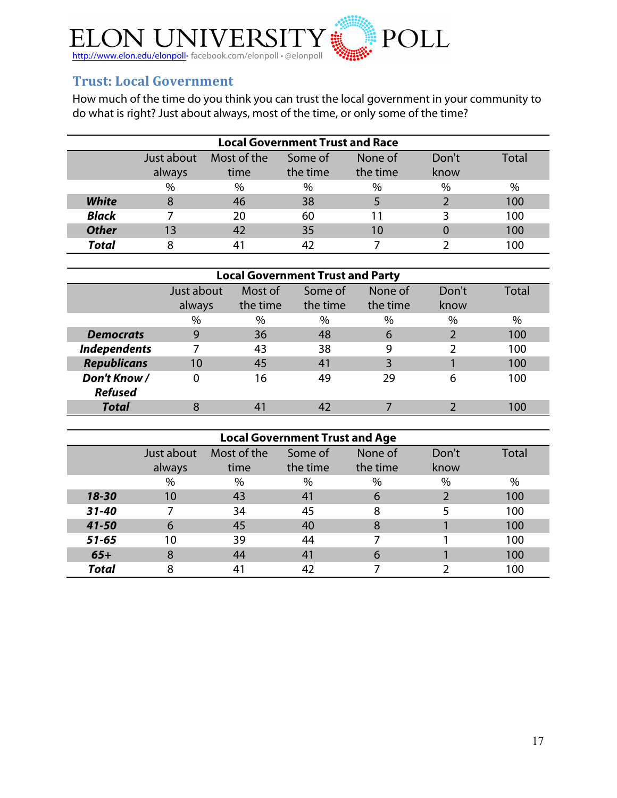

# **Trust: Local Government**

How much of the time do you think you can trust the local government in your community to do what is right? Just about always, most of the time, or only some of the time?

|              |            |             | <b>Local Government Trust and Race</b> |          |       |       |
|--------------|------------|-------------|----------------------------------------|----------|-------|-------|
|              | Just about | Most of the | Some of                                | None of  | Don't | Total |
|              | always     | time        | the time                               | the time | know  |       |
|              | $\%$       | $\%$        | $\%$                                   | $\%$     | $\%$  | $\%$  |
| <b>White</b> | 8          | 46          | 38                                     |          |       | 100   |
| <b>Black</b> |            | 20          | 60                                     | 11       |       | 100   |
| <b>Other</b> | 13         | 42          | 35                                     | 10       | 0     | 100   |
| <b>Total</b> |            | 41          |                                        |          |       | 100   |

|                                |                      |                     | <b>Local Government Trust and Party</b> |                     |               |       |
|--------------------------------|----------------------|---------------------|-----------------------------------------|---------------------|---------------|-------|
|                                | Just about<br>always | Most of<br>the time | Some of<br>the time                     | None of<br>the time | Don't<br>know | Total |
|                                | $\%$                 | $\%$                | %                                       | $\%$                | $\%$          | %     |
| <b>Democrats</b>               | 9                    | 36                  | 48                                      | 6                   |               | 100   |
| <b>Independents</b>            |                      | 43                  | 38                                      | 9                   | າ             | 100   |
| <b>Republicans</b>             | 10                   | 45                  | 41                                      | 3                   |               | 100   |
| Don't Know /<br><b>Refused</b> | 0                    | 16                  | 49                                      | 29                  | 6             | 100   |
| <b>Total</b>                   | 8                    | 41                  | 42                                      |                     |               | 100   |

|              |            |               | <b>Local Government Trust and Age</b> |          |       |       |
|--------------|------------|---------------|---------------------------------------|----------|-------|-------|
|              | Just about | Most of the   | Some of                               | None of  | Don't | Total |
|              | always     | time          | the time                              | the time | know  |       |
|              | $\%$       | $\%$          | $\%$                                  | $\%$     | $\%$  | $\%$  |
| 18-30        | 10         | 43            | 41                                    | 6        |       | 100   |
| $31 - 40$    |            | 34            | 45                                    | 8        |       | 100   |
| 41-50        | 6          | 45            | 40                                    | 8        |       | 100   |
| $51 - 65$    | 10         | 39            | 44                                    |          |       | 100   |
| $65+$        | 8          | 44            | 41                                    | 6        |       | 100   |
| <b>Total</b> |            | $4^{\degree}$ | 42                                    |          |       | 100   |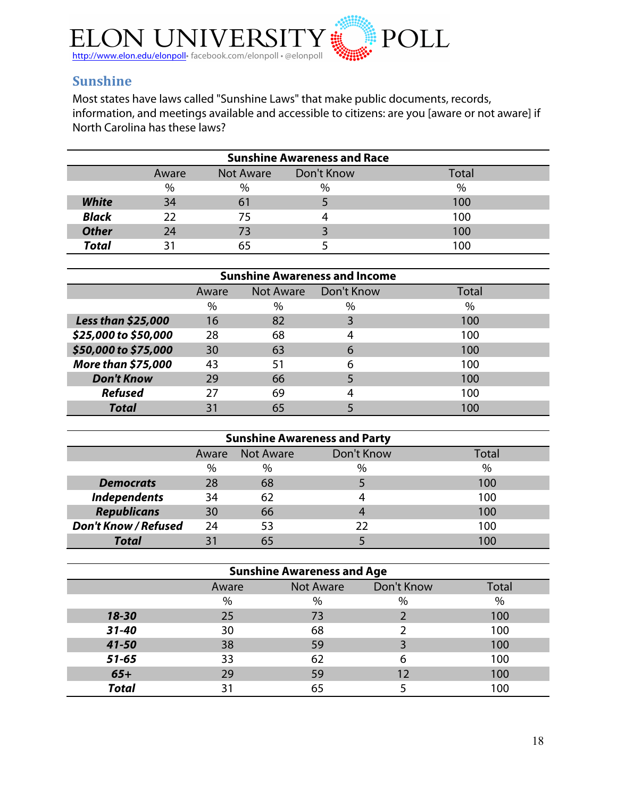

# **Sunshine**

Most states have laws called "Sunshine Laws" that make public documents, records, information, and meetings available and accessible to citizens: are you [aware or not aware] if North Carolina has these laws?

|              |       |           | <b>Sunshine Awareness and Race</b> |       |
|--------------|-------|-----------|------------------------------------|-------|
|              | Aware | Not Aware | Don't Know                         | Total |
|              | $\%$  | $\%$      | $\%$                               | $\%$  |
| <b>White</b> | 34    | 61        |                                    | 100   |
| <b>Black</b> | 22.   | 75        |                                    | 100   |
| <b>Other</b> | 24    | 73        |                                    | 100   |
| <b>Total</b> |       |           |                                    | 100   |

|                           |       |           | <b>Sunshine Awareness and Income</b> |       |
|---------------------------|-------|-----------|--------------------------------------|-------|
|                           | Aware | Not Aware | Don't Know                           | Total |
|                           | %     | %         | $\%$                                 | $\%$  |
| <b>Less than \$25,000</b> | 16    | 82        | 3                                    | 100   |
| \$25,000 to \$50,000      | 28    | 68        | 4                                    | 100   |
| \$50,000 to \$75,000      | 30    | 63        | 6                                    | 100   |
| <b>More than \$75,000</b> | 43    | 51        | 6                                    | 100   |
| <b>Don't Know</b>         | 29    | 66        |                                      | 100   |
| <b>Refused</b>            | 27    | 69        |                                      | 100   |
| <b>Total</b>              | 31    | 65        |                                      | 100   |

|                             |       |                  | <b>Sunshine Awareness and Party</b> |       |
|-----------------------------|-------|------------------|-------------------------------------|-------|
|                             | Aware | <b>Not Aware</b> | Don't Know                          | Total |
|                             | $\%$  | %                | $\%$                                | $\%$  |
| <b>Democrats</b>            | 28    | 68               |                                     | 100   |
| <b>Independents</b>         | 34    | 62               |                                     | 100   |
| <b>Republicans</b>          | 30    | 66               |                                     | 100   |
| <b>Don't Know / Refused</b> | 24    | 53               | 22                                  | 100   |
| <b>Total</b>                |       |                  |                                     | 100   |

|              |       | <b>Sunshine Awareness and Age</b> |            |       |
|--------------|-------|-----------------------------------|------------|-------|
|              | Aware | <b>Not Aware</b>                  | Don't Know | Total |
|              | %     | $\%$                              | $\%$       | $\%$  |
| 18-30        | 25    | 73                                |            | 100   |
| $31 - 40$    | 30    | 68                                |            | 100   |
| 41-50        | 38    | 59                                | 3          | 100   |
| $51 - 65$    | 33    | 62                                | 6          | 100   |
| $65+$        | 29    | 59                                | 12         | 100   |
| <b>Total</b> |       | 65                                |            | 100   |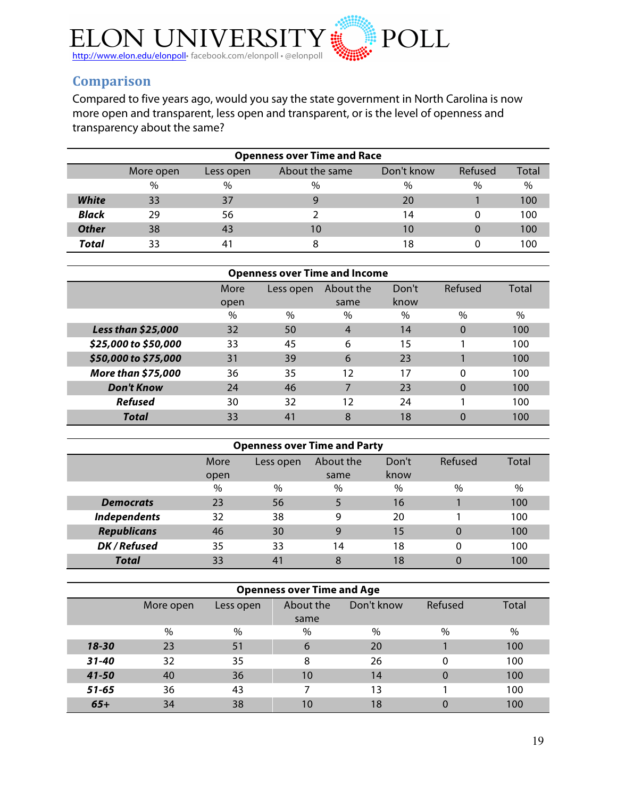

# **Comparison**

Compared to five years ago, would you say the state government in North Carolina is now more open and transparent, less open and transparent, or is the level of openness and transparency about the same?

|              |           |           | <b>Openness over Time and Race</b> |            |         |       |
|--------------|-----------|-----------|------------------------------------|------------|---------|-------|
|              | More open | Less open | About the same                     | Don't know | Refused | Total |
|              | $\%$      | $\%$      | $\%$                               | $\%$       | $\%$    | $\%$  |
| <b>White</b> | 33        | 37        | 9                                  | 20         |         | 100   |
| <b>Black</b> | 29        | 56        |                                    | 14         | 0       | 100   |
| <b>Other</b> | 38        | 43        | 10                                 | 10         |         | 100   |
| Total        | 33        | 41        |                                    | 18         |         | 100   |

|                      |      |           | <b>Openness over Time and Income</b> |       |               |       |
|----------------------|------|-----------|--------------------------------------|-------|---------------|-------|
|                      | More | Less open | About the                            | Don't | Refused       | Total |
|                      | open |           | same                                 | know  |               |       |
|                      | $\%$ | $\%$      | $\%$                                 | $\%$  | $\frac{0}{0}$ | $\%$  |
| Less than \$25,000   | 32   | 50        | 4                                    | 14    | 0             | 100   |
| \$25,000 to \$50,000 | 33   | 45        | 6                                    | 15    |               | 100   |
| \$50,000 to \$75,000 | 31   | 39        | 6                                    | 23    |               | 100   |
| More than \$75,000   | 36   | 35        | 12                                   | 17    | 0             | 100   |
| <b>Don't Know</b>    | 24   | 46        | 7                                    | 23    | 0             | 100   |
| Refused              | 30   | 32        | 12                                   | 24    |               | 100   |
| <b>Total</b>         | 33   | 41        | 8                                    | 18    | 0             | 100   |

|                     |      | <b>Openness over Time and Party</b> |           |       |                |       |
|---------------------|------|-------------------------------------|-----------|-------|----------------|-------|
|                     | More | Less open                           | About the | Don't | Refused        | Total |
|                     | open |                                     | same      | know  |                |       |
|                     | $\%$ | $\%$                                | $\%$      | $\%$  | $\frac{0}{0}$  | $\%$  |
| <b>Democrats</b>    | 23   | 56                                  |           | 16    |                | 100   |
| <b>Independents</b> | 32   | 38                                  | 9         | 20    |                | 100   |
| <b>Republicans</b>  | 46   | 30                                  | 9         | 15    | $\overline{0}$ | 100   |
| DK / Refused        | 35   | 33                                  | 14        | 18    | 0              | 100   |
| <b>Total</b>        | 33   | 41                                  | 8         | 18    | $\Omega$       | 100   |

|           |           |           | <b>Openness over Time and Age</b> |            |         |       |
|-----------|-----------|-----------|-----------------------------------|------------|---------|-------|
|           | More open | Less open | About the                         | Don't know | Refused | Total |
|           |           |           | same                              |            |         |       |
|           | %         | $\%$      | $\%$                              | %          | $\%$    | %     |
| 18-30     | 23        | 51        | 6                                 | 20         |         | 100   |
| $31 - 40$ | 32        | 35        | 8                                 | 26         | 0       | 100   |
| 41-50     | 40        | 36        | 10                                | 14         | 0       | 100   |
| $51 - 65$ | 36        | 43        |                                   | 13         |         | 100   |
| $65+$     | 34        | 38        | 10                                | 18         | 0       | 100   |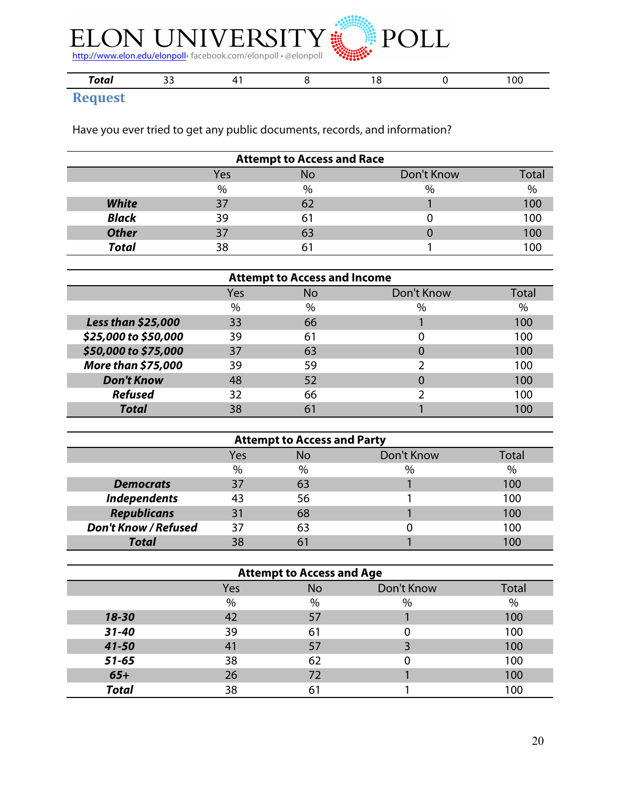

|--|

# **Request**

Have you ever tried to get any public documents, records, and information?

|              |      | <b>Attempt to Access and Race</b> |            |      |
|--------------|------|-----------------------------------|------------|------|
|              | Yes  | No                                | Don't Know | otal |
|              | $\%$ | $\%$                              | $\%$       | %    |
| <b>White</b> |      | 62                                |            | 100  |
| <b>Black</b> | 39   | 61                                |            | 100  |
| <b>Other</b> | 37   | 63                                |            | 100  |
| <b>Total</b> | 38   |                                   |            |      |

| <b>Attempt to Access and Income</b> |      |      |            |       |  |  |  |
|-------------------------------------|------|------|------------|-------|--|--|--|
|                                     | Yes  | No   | Don't Know | Total |  |  |  |
|                                     | $\%$ | $\%$ | $\%$       | $\%$  |  |  |  |
| Less than \$25,000                  | 33   | 66   |            | 100   |  |  |  |
| \$25,000 to \$50,000                | 39   | 61   |            | 100   |  |  |  |
| \$50,000 to \$75,000                | 37   | 63   | O          | 100   |  |  |  |
| More than \$75,000                  | 39   | 59   |            | 100   |  |  |  |
| <b>Don't Know</b>                   | 48   | 52   | 0          | 100   |  |  |  |
| <b>Refused</b>                      | 32   | 66   |            | 100   |  |  |  |
| <b>Total</b>                        | 38   | 61   |            | 100   |  |  |  |

| <b>Attempt to Access and Party</b> |      |      |            |       |  |  |  |  |
|------------------------------------|------|------|------------|-------|--|--|--|--|
|                                    | Yes  | No   | Don't Know | Total |  |  |  |  |
|                                    | $\%$ | $\%$ | $\%$       | $\%$  |  |  |  |  |
| <b>Democrats</b>                   | 37   | 63   |            | 100   |  |  |  |  |
| <b>Independents</b>                | 43   | 56   |            | 100   |  |  |  |  |
| <b>Republicans</b>                 | 31   | 68   |            | 100   |  |  |  |  |
| <b>Don't Know / Refused</b>        | 37   | 63   |            | 100   |  |  |  |  |
| <b>Total</b>                       | 38   |      |            | 100   |  |  |  |  |

| <b>Attempt to Access and Age</b> |      |    |            |       |  |  |  |  |
|----------------------------------|------|----|------------|-------|--|--|--|--|
|                                  | Yes  | No | Don't Know | Total |  |  |  |  |
|                                  | $\%$ | %  | %          | %     |  |  |  |  |
| $18 - 30$                        | 42   | 57 |            | 100   |  |  |  |  |
| $31 - 40$                        | 39   | 61 |            | 100   |  |  |  |  |
| 41-50                            | 41   | 57 |            | 100   |  |  |  |  |
| $51 - 65$                        | 38   | 62 |            | 100   |  |  |  |  |
| $65+$                            | 26   | 72 |            | 100   |  |  |  |  |
| <b>Total</b>                     | 38   | 61 |            | 100   |  |  |  |  |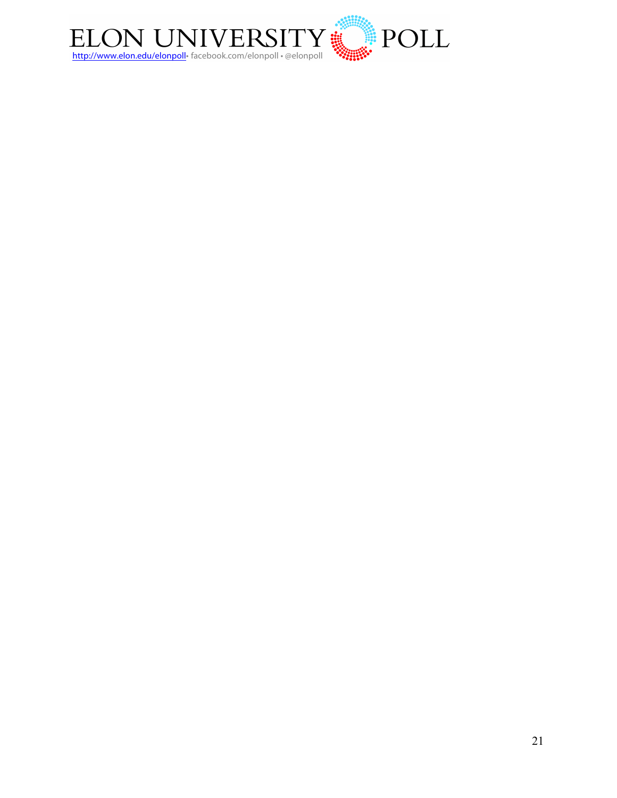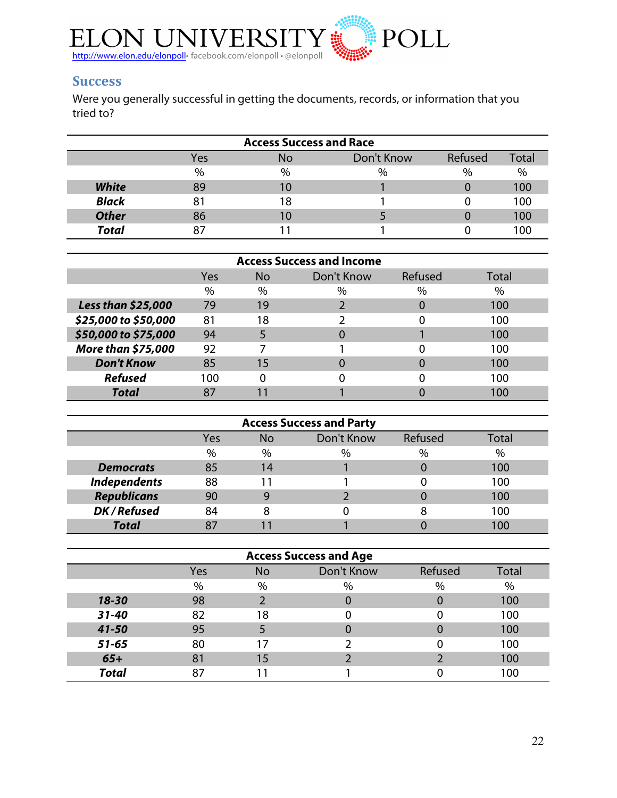

# **Success(**

Were you generally successful in getting the documents, records, or information that you tried to?

| <b>Access Success and Race</b> |                                             |      |      |      |      |  |  |  |  |
|--------------------------------|---------------------------------------------|------|------|------|------|--|--|--|--|
|                                | Refused<br>Don't Know<br>Yes<br>Total<br>No |      |      |      |      |  |  |  |  |
|                                | %                                           | $\%$ | $\%$ | $\%$ | $\%$ |  |  |  |  |
| <b>White</b>                   | 89                                          | 10   |      |      | 100  |  |  |  |  |
| <b>Black</b>                   | 81                                          | 18   |      |      | 100  |  |  |  |  |
| <b>Other</b>                   | 86                                          | 10   |      |      | 100  |  |  |  |  |
| <b>Total</b>                   | 87                                          |      |      |      | 100  |  |  |  |  |

| <b>Access Success and Income</b> |      |           |            |         |               |  |  |  |  |  |
|----------------------------------|------|-----------|------------|---------|---------------|--|--|--|--|--|
|                                  | Yes  | <b>No</b> | Don't Know | Refused | Total         |  |  |  |  |  |
|                                  | $\%$ | $\%$      | $\%$       | $\%$    | $\frac{0}{0}$ |  |  |  |  |  |
| <b>Less than \$25,000</b>        | 79   | 19        |            |         | 100           |  |  |  |  |  |
| \$25,000 to \$50,000             | 81   | 18        |            |         | 100           |  |  |  |  |  |
| \$50,000 to \$75,000             | 94   | 5         |            |         | 100           |  |  |  |  |  |
| <b>More than \$75,000</b>        | 92   | 7         |            |         | 100           |  |  |  |  |  |
| <b>Don't Know</b>                | 85   | 15        |            |         | 100           |  |  |  |  |  |
| <b>Refused</b>                   | 100  | 0         |            |         | 100           |  |  |  |  |  |
| <b>Total</b>                     | 87   |           |            |         | 100           |  |  |  |  |  |

| <b>Access Success and Party</b>                    |    |      |      |      |      |  |  |  |  |  |
|----------------------------------------------------|----|------|------|------|------|--|--|--|--|--|
| Don't Know<br>Refused<br><b>No</b><br>Yes<br>Total |    |      |      |      |      |  |  |  |  |  |
|                                                    | %  | $\%$ | $\%$ | $\%$ | $\%$ |  |  |  |  |  |
| <b>Democrats</b>                                   | 85 | 14   |      |      | 100  |  |  |  |  |  |
| <b>Independents</b>                                | 88 |      |      |      | 100  |  |  |  |  |  |
| <b>Republicans</b>                                 | 90 |      |      |      | 100  |  |  |  |  |  |
| <b>DK/Refused</b>                                  | 84 | 8    |      |      | 100  |  |  |  |  |  |
| <b>Total</b>                                       |    |      |      |      | 100  |  |  |  |  |  |

| <b>Access Success and Age</b> |      |    |            |         |              |  |  |  |  |  |
|-------------------------------|------|----|------------|---------|--------------|--|--|--|--|--|
|                               | Yes  | No | Don't Know | Refused | <b>Total</b> |  |  |  |  |  |
|                               | $\%$ | %  | $\%$       | %       | $\%$         |  |  |  |  |  |
| 18-30                         | 98   |    |            |         | 100          |  |  |  |  |  |
| $31 - 40$                     | 82   | 18 |            |         | 100          |  |  |  |  |  |
| 41-50                         | 95   |    |            |         | 100          |  |  |  |  |  |
| $51 - 65$                     | 80   | 17 |            |         | 100          |  |  |  |  |  |
| $65+$                         | 81   | 15 |            |         | 100          |  |  |  |  |  |
| <b>Total</b>                  | 87   | 11 |            |         | 100          |  |  |  |  |  |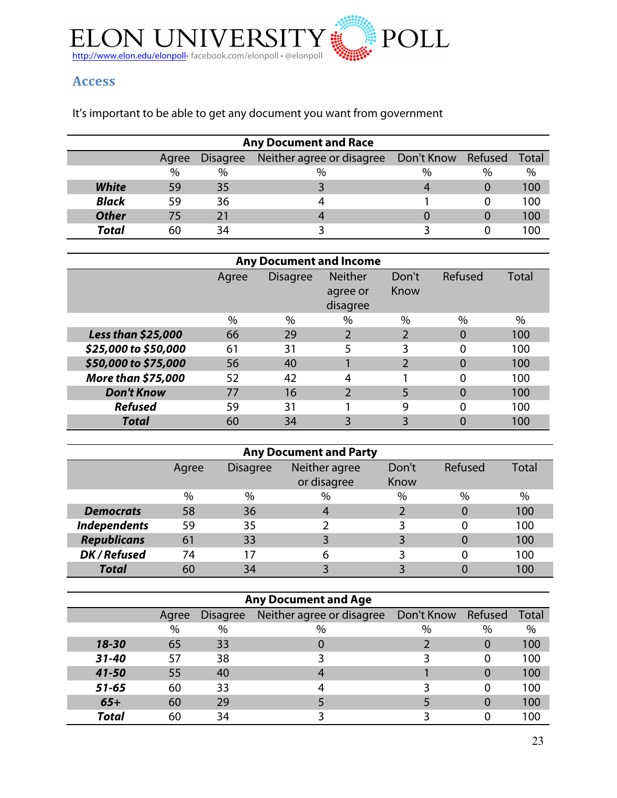

## **Access**

It's important to be able to get any document you want from government

| <b>Any Document and Race</b> |       |                 |                                                       |      |      |      |  |  |  |  |  |
|------------------------------|-------|-----------------|-------------------------------------------------------|------|------|------|--|--|--|--|--|
|                              | Agree | <b>Disagree</b> | Neither agree or disagree  Don't Know  Refused  Total |      |      |      |  |  |  |  |  |
|                              | $\%$  | $\%$            | $\%$                                                  | $\%$ | $\%$ | $\%$ |  |  |  |  |  |
| <b>White</b>                 | 59    | 35              |                                                       |      |      | 100  |  |  |  |  |  |
| <b>Black</b>                 | 59    | 36              |                                                       |      |      | 100  |  |  |  |  |  |
| <b>Other</b>                 | 75    | 21              |                                                       |      |      | 100  |  |  |  |  |  |
| <b>Total</b>                 | 60    | 34              |                                                       |      |      | 100  |  |  |  |  |  |

| <b>Any Document and Income</b> |       |                 |                                        |               |          |              |  |  |  |  |
|--------------------------------|-------|-----------------|----------------------------------------|---------------|----------|--------------|--|--|--|--|
|                                | Agree | <b>Disagree</b> | <b>Neither</b><br>agree or<br>disagree | Don't<br>Know | Refused  | <b>Total</b> |  |  |  |  |
|                                | $\%$  | %               | $\%$                                   | $\%$          | $\%$     | %            |  |  |  |  |
| Less than \$25,000             | 66    | 29              | 2                                      | 2             | $\Omega$ | 100          |  |  |  |  |
| \$25,000 to \$50,000           | 61    | 31              | 5                                      | 3             | 0        | 100          |  |  |  |  |
| \$50,000 to \$75,000           | 56    | 40              |                                        | 2             | 0        | 100          |  |  |  |  |
| <b>More than \$75,000</b>      | 52    | 42              | 4                                      |               | 0        | 100          |  |  |  |  |
| <b>Don't Know</b>              | 77    | 16              | フ                                      | 5             | $\Omega$ | 100          |  |  |  |  |
| <b>Refused</b>                 | 59    | 31              |                                        | 9             | 0        | 100          |  |  |  |  |
| <b>Total</b>                   | 60    | 34              | 3                                      | 3             |          | 100          |  |  |  |  |

| <b>Any Document and Party</b> |       |                 |               |       |         |       |  |  |  |  |  |
|-------------------------------|-------|-----------------|---------------|-------|---------|-------|--|--|--|--|--|
|                               | Agree | <b>Disagree</b> | Neither agree | Don't | Refused | Total |  |  |  |  |  |
|                               |       |                 | or disagree   | Know  |         |       |  |  |  |  |  |
|                               | $\%$  | $\%$            | $\%$          | $\%$  | $\%$    | %     |  |  |  |  |  |
| <b>Democrats</b>              | 58    | 36              |               |       |         | 100   |  |  |  |  |  |
| <b>Independents</b>           | 59    | 35              |               |       |         | 100   |  |  |  |  |  |
| <b>Republicans</b>            | 61    | 33              |               |       |         | 100   |  |  |  |  |  |
| <b>DK/Refused</b>             | 74    | 17              | 6             |       |         | 100   |  |  |  |  |  |
| <b>Total</b>                  | 60    | 34              | 3             |       |         | 100   |  |  |  |  |  |

| <b>Any Document and Age</b> |       |                 |                                                |      |          |       |  |  |  |  |  |
|-----------------------------|-------|-----------------|------------------------------------------------|------|----------|-------|--|--|--|--|--|
|                             | Agree | <b>Disagree</b> | Neither agree or disagree  Don't Know  Refused |      |          | Total |  |  |  |  |  |
|                             | $\%$  | %               | $\%$                                           | $\%$ | $\%$     | $\%$  |  |  |  |  |  |
| 18-30                       | 65    | 33              |                                                |      | $\Omega$ | 100   |  |  |  |  |  |
| $31 - 40$                   | 57    | 38              |                                                |      |          | 100   |  |  |  |  |  |
| 41-50                       | 55    | 40              |                                                |      | $\Omega$ | 100   |  |  |  |  |  |
| $51 - 65$                   | 60    | 33              |                                                |      |          | 100   |  |  |  |  |  |
| $65+$                       | 60    | 29              |                                                |      | $\Omega$ | 100   |  |  |  |  |  |
| <b>Total</b>                | 60    | 34              |                                                |      |          | 100   |  |  |  |  |  |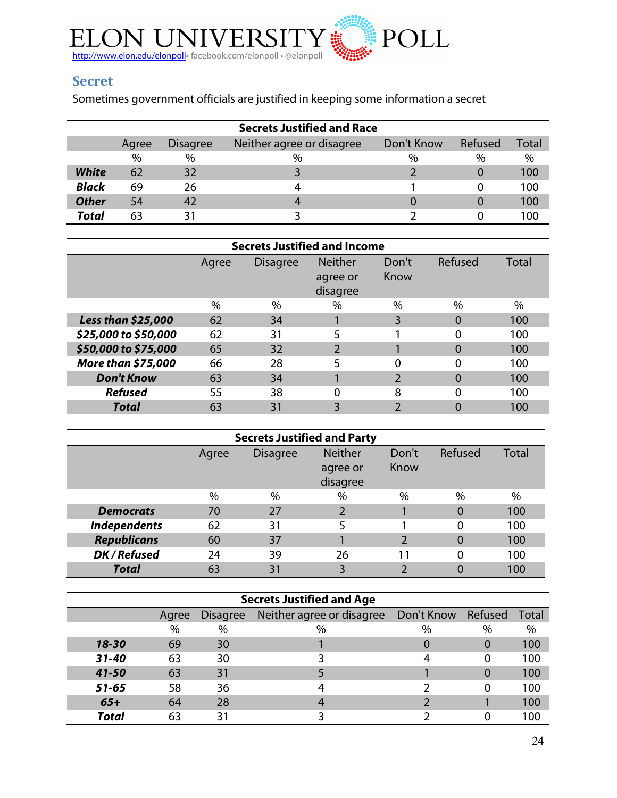

## **Secret**

Sometimes government officials are justified in keeping some information a secret

|              | <b>Secrets Justified and Race</b> |                 |                           |            |         |       |  |  |  |
|--------------|-----------------------------------|-----------------|---------------------------|------------|---------|-------|--|--|--|
|              | Agree                             | <b>Disagree</b> | Neither agree or disagree | Don't Know | Refused | Total |  |  |  |
|              | $\%$                              | $\%$            | $\%$                      | $\%$       | $\%$    | %     |  |  |  |
| <b>White</b> | 62                                | 32              |                           |            |         | 100   |  |  |  |
| <b>Black</b> | 69                                | 26              |                           |            |         | 100   |  |  |  |
| <b>Other</b> | 54                                | 42              |                           |            |         | 100   |  |  |  |
| <b>Total</b> | 63                                |                 |                           |            |         | 100   |  |  |  |

| <b>Secrets Justified and Income</b> |       |                 |                                        |               |         |       |  |  |  |
|-------------------------------------|-------|-----------------|----------------------------------------|---------------|---------|-------|--|--|--|
|                                     | Agree | <b>Disagree</b> | <b>Neither</b><br>agree or<br>disagree | Don't<br>Know | Refused | Total |  |  |  |
|                                     | $\%$  | $\%$            | $\%$                                   | $\%$          | %       | $\%$  |  |  |  |
| Less than \$25,000                  | 62    | 34              |                                        | 3             | 0       | 100   |  |  |  |
| \$25,000 to \$50,000                | 62    | 31              | 5                                      |               | 0       | 100   |  |  |  |
| \$50,000 to \$75,000                | 65    | 32              |                                        |               | 0       | 100   |  |  |  |
| <b>More than \$75,000</b>           | 66    | 28              | 5                                      | 0             | 0       | 100   |  |  |  |
| <b>Don't Know</b>                   | 63    | 34              |                                        |               | 0       | 100   |  |  |  |
| <b>Refused</b>                      | 55    | 38              | $\Omega$                               | 8             | 0       | 100   |  |  |  |
| <b>Total</b>                        | 63    | 31              | 3                                      |               |         | 100   |  |  |  |

| <b>Secrets Justified and Party</b> |       |                 |                      |       |         |              |  |  |
|------------------------------------|-------|-----------------|----------------------|-------|---------|--------------|--|--|
|                                    | Agree | <b>Disagree</b> | <b>Neither</b>       | Don't | Refused | <b>Total</b> |  |  |
|                                    |       |                 | agree or<br>disagree | Know  |         |              |  |  |
|                                    | $\%$  | $\%$            | $\%$                 | $\%$  | $\%$    | $\%$         |  |  |
| <b>Democrats</b>                   | 70    | 27              |                      |       | 0       | 100          |  |  |
| <b>Independents</b>                | 62    | 31              | 5                    |       | 0       | 100          |  |  |
| <b>Republicans</b>                 | 60    | 37              |                      | 2     | 0       | 100          |  |  |
| <b>DK/Refused</b>                  | 24    | 39              | 26                   | 11    | 0       | 100          |  |  |
| <b>Total</b>                       | 63    | 31              | 3                    |       |         | 100          |  |  |

| <b>Secrets Justified and Age</b> |       |                 |                                                |      |          |       |  |  |  |  |
|----------------------------------|-------|-----------------|------------------------------------------------|------|----------|-------|--|--|--|--|
|                                  | Agree | <b>Disagree</b> | Neither agree or disagree  Don't Know  Refused |      |          | Total |  |  |  |  |
|                                  | $\%$  | $\%$            | $\%$                                           | $\%$ | $\%$     | %     |  |  |  |  |
| $18 - 30$                        | 69    | 30              |                                                | O    | O        | 100   |  |  |  |  |
| $31 - 40$                        | 63    | 30              |                                                | 4    | 0        | 100   |  |  |  |  |
| 41-50                            | 63    | 31              |                                                |      | $\Omega$ | 100   |  |  |  |  |
| $51 - 65$                        | 58    | 36              |                                                |      | 0        | 100   |  |  |  |  |
| $65+$                            | 64    | 28              |                                                |      |          | 100   |  |  |  |  |
| <b>Total</b>                     | 63    | 31              |                                                |      |          | 100   |  |  |  |  |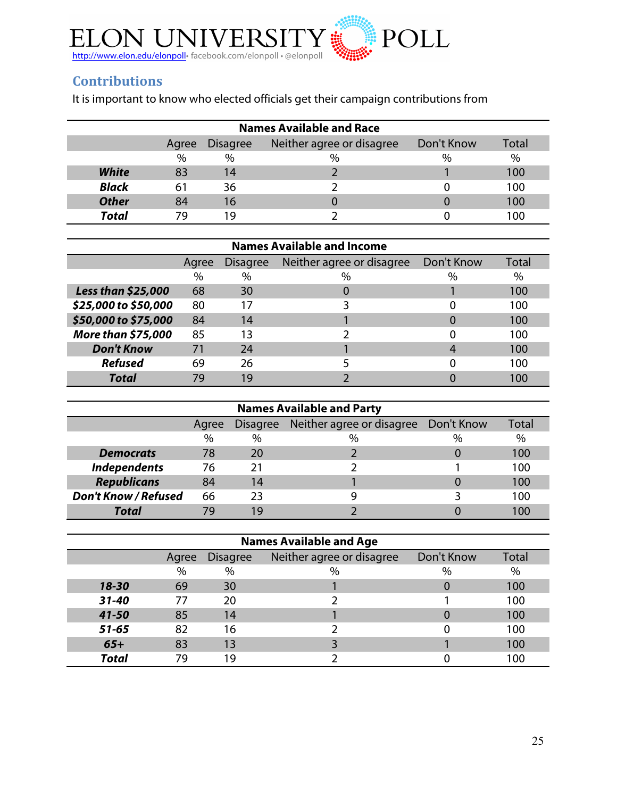

# **Contributions**

It is important to know who elected officials get their campaign contributions from

| <b>Names Available and Race</b> |                                                                              |      |      |      |      |  |  |  |  |  |
|---------------------------------|------------------------------------------------------------------------------|------|------|------|------|--|--|--|--|--|
|                                 | Neither agree or disagree<br>Don't Know<br>Total<br><b>Disagree</b><br>Agree |      |      |      |      |  |  |  |  |  |
|                                 | $\%$                                                                         | $\%$ | $\%$ | $\%$ | $\%$ |  |  |  |  |  |
| <b>White</b>                    | 83                                                                           | 14   |      |      | 100  |  |  |  |  |  |
| <b>Black</b>                    | 61                                                                           | 36   |      |      | 100  |  |  |  |  |  |
| <b>Other</b>                    | 84                                                                           | 16   |      |      | 100  |  |  |  |  |  |
| <b>Total</b>                    | 79                                                                           | 19   |      |      | 100  |  |  |  |  |  |

| <b>Names Available and Income</b> |               |                                                            |      |               |      |  |  |  |  |
|-----------------------------------|---------------|------------------------------------------------------------|------|---------------|------|--|--|--|--|
|                                   | Agree         | Don't Know<br>Neither agree or disagree<br><b>Disagree</b> |      |               |      |  |  |  |  |
|                                   | $\frac{0}{0}$ | %                                                          | $\%$ | $\frac{0}{0}$ | $\%$ |  |  |  |  |
| <b>Less than \$25,000</b>         | 68            | 30                                                         |      |               | 100  |  |  |  |  |
| \$25,000 to \$50,000              | 80            | 17                                                         |      |               | 100  |  |  |  |  |
| \$50,000 to \$75,000              | 84            | 14                                                         |      | $\Omega$      | 100  |  |  |  |  |
| <b>More than \$75,000</b>         | 85            | 13                                                         |      | 0             | 100  |  |  |  |  |
| <b>Don't Know</b>                 | 71            | 24                                                         |      |               | 100  |  |  |  |  |
| <b>Refused</b>                    | 69            | 26                                                         |      |               | 100  |  |  |  |  |
| <b>Total</b>                      | 79            | 19                                                         |      |               | 100  |  |  |  |  |

| <b>Names Available and Party</b>                                |      |               |      |               |      |  |  |  |  |
|-----------------------------------------------------------------|------|---------------|------|---------------|------|--|--|--|--|
| Disagree Neither agree or disagree Don't Know<br>Total<br>Agree |      |               |      |               |      |  |  |  |  |
|                                                                 | $\%$ | $\frac{0}{0}$ | $\%$ | $\frac{0}{0}$ | $\%$ |  |  |  |  |
| <b>Democrats</b>                                                | 78   | 20            |      |               | 100  |  |  |  |  |
| <b>Independents</b>                                             | 76   | 21            |      |               | 100  |  |  |  |  |
| <b>Republicans</b>                                              | 84   | 14            |      |               | 100  |  |  |  |  |
| <b>Don't Know / Refused</b>                                     | 66   | 23            |      |               | 100  |  |  |  |  |
| Total                                                           |      | 19            |      |               | 100  |  |  |  |  |

| <b>Names Available and Age</b> |                                                                              |    |      |      |      |  |  |  |  |  |
|--------------------------------|------------------------------------------------------------------------------|----|------|------|------|--|--|--|--|--|
|                                | Neither agree or disagree<br>Don't Know<br>Total<br><b>Disagree</b><br>Agree |    |      |      |      |  |  |  |  |  |
|                                | %                                                                            | %  | $\%$ | $\%$ | $\%$ |  |  |  |  |  |
| 18-30                          | 69                                                                           | 30 |      | 0    | 100  |  |  |  |  |  |
| $31 - 40$                      | 77                                                                           | 20 |      |      | 100  |  |  |  |  |  |
| 41-50                          | 85                                                                           | 14 |      |      | 100  |  |  |  |  |  |
| $51 - 65$                      | 82                                                                           | 16 |      | 0    | 100  |  |  |  |  |  |
| $65+$                          | 83                                                                           | 13 |      |      | 100  |  |  |  |  |  |
| <b>Total</b>                   | 79                                                                           | 19 |      |      | 100  |  |  |  |  |  |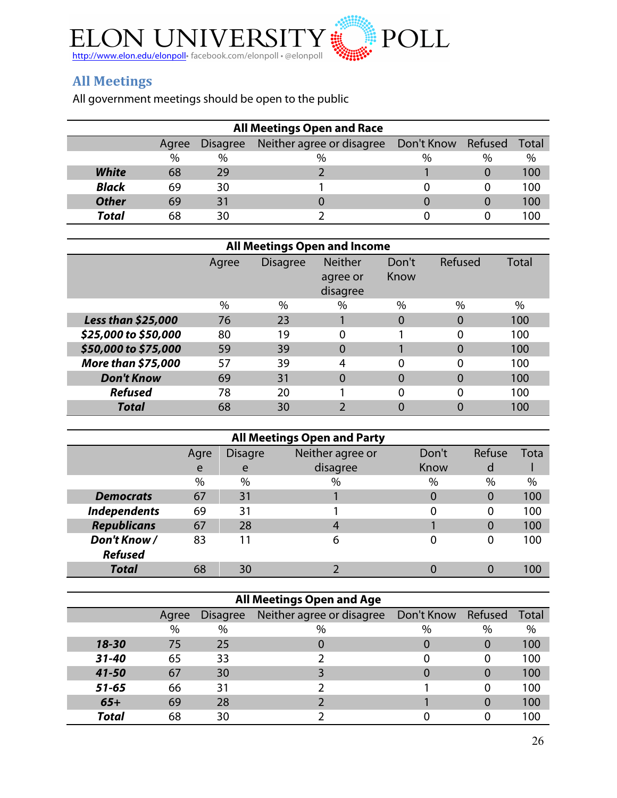

# **All Meetings**

All government meetings should be open to the public

| <b>All Meetings Open and Race</b> |       |                 |                                      |      |               |      |  |  |  |  |
|-----------------------------------|-------|-----------------|--------------------------------------|------|---------------|------|--|--|--|--|
|                                   | Agree | <b>Disagree</b> | Neither agree or disagree Don't Know |      | Refused Total |      |  |  |  |  |
|                                   | $\%$  | %               | $\%$                                 | $\%$ | %             | $\%$ |  |  |  |  |
| <b>White</b>                      | 68    | 29              |                                      |      |               | 100  |  |  |  |  |
| <b>Black</b>                      | 69    | 30              |                                      |      |               | 100  |  |  |  |  |
| <b>Other</b>                      | 69    | 31              |                                      |      |               | 100  |  |  |  |  |
| <b>Total</b>                      | 68    | 30              |                                      |      |               | 100  |  |  |  |  |

| <b>All Meetings Open and Income</b>                                                                     |      |      |      |      |      |      |  |  |  |
|---------------------------------------------------------------------------------------------------------|------|------|------|------|------|------|--|--|--|
| <b>Neither</b><br>Refused<br>Total<br>Don't<br><b>Disagree</b><br>Agree<br>Know<br>agree or<br>disagree |      |      |      |      |      |      |  |  |  |
|                                                                                                         | $\%$ | $\%$ | $\%$ | $\%$ | $\%$ | $\%$ |  |  |  |
| Less than \$25,000                                                                                      | 76   | 23   |      | 0    | 0    | 100  |  |  |  |
| \$25,000 to \$50,000                                                                                    | 80   | 19   | 0    |      | 0    | 100  |  |  |  |
| \$50,000 to \$75,000                                                                                    | 59   | 39   | 0    |      | 0    | 100  |  |  |  |
| <b>More than \$75,000</b>                                                                               | 57   | 39   | 4    | 0    | 0    | 100  |  |  |  |
| <b>Don't Know</b>                                                                                       | 69   | 31   | 0    | 0    | 0    | 100  |  |  |  |
| <b>Refused</b>                                                                                          | 78   | 20   |      | 0    | 0    | 100  |  |  |  |
| <b>Total</b>                                                                                            | 68   | 30   |      | 0    |      | 100  |  |  |  |

| <b>All Meetings Open and Party</b> |      |                |                  |       |          |      |  |  |  |  |
|------------------------------------|------|----------------|------------------|-------|----------|------|--|--|--|--|
|                                    | Agre | <b>Disagre</b> | Neither agree or | Don't | Refuse   | Tota |  |  |  |  |
|                                    | e    | e              | disagree         | Know  | d        |      |  |  |  |  |
|                                    | %    | $\%$           | $\%$             | $\%$  | $\%$     | %    |  |  |  |  |
| <b>Democrats</b>                   | 67   | 31             |                  | 0     | $\Omega$ | 100  |  |  |  |  |
| <b>Independents</b>                | 69   | 31             |                  | 0     | 0        | 100  |  |  |  |  |
| <b>Republicans</b>                 | 67   | 28             | 4                |       | $\Omega$ | 100  |  |  |  |  |
| Don't Know /                       | 83   | 11             | 6                | 0     | 0        | 100  |  |  |  |  |
| <b>Refused</b>                     |      |                |                  |       |          |      |  |  |  |  |
| <b>Total</b>                       | 68   | 30             |                  |       | 0        | 100  |  |  |  |  |

| <b>All Meetings Open and Age</b> |       |                 |                                                       |          |      |      |  |  |  |  |  |
|----------------------------------|-------|-----------------|-------------------------------------------------------|----------|------|------|--|--|--|--|--|
|                                  | Agree | <b>Disagree</b> | Neither agree or disagree  Don't Know  Refused  Total |          |      |      |  |  |  |  |  |
|                                  | $\%$  | %               | $\%$                                                  | $\%$     | $\%$ | $\%$ |  |  |  |  |  |
| 18-30                            | 75    | 25              |                                                       |          |      | 100  |  |  |  |  |  |
| $31 - 40$                        | 65    | 33              |                                                       | $\Omega$ |      | 100  |  |  |  |  |  |
| 41-50                            | 67    | 30              |                                                       |          |      | 100  |  |  |  |  |  |
| $51 - 65$                        | 66    | 31              |                                                       |          |      | 100  |  |  |  |  |  |
| $65+$                            | 69    | 28              |                                                       |          |      | 100  |  |  |  |  |  |
| <b>Total</b>                     | 68    | 30              |                                                       |          |      | 100  |  |  |  |  |  |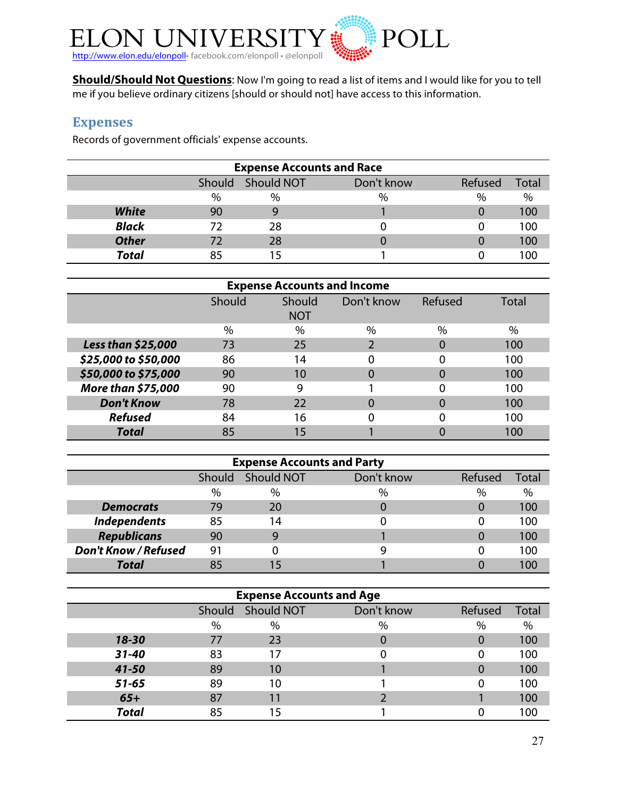

**Should/Should Not Questions**: Now I'm going to read a list of items and I would like for you to tell me if you believe ordinary citizens [should or should not] have access to this information.

### **Expenses**

Records of government officials' expense accounts.

| <b>Expense Accounts and Race</b> |        |                   |            |         |              |  |
|----------------------------------|--------|-------------------|------------|---------|--------------|--|
|                                  | Should | <b>Should NOT</b> | Don't know | Refused | <b>Total</b> |  |
|                                  | $\%$   | $\%$              | $\%$       | $\%$    | $\%$         |  |
| <b>White</b>                     | 90     |                   |            |         | 100          |  |
| <b>Black</b>                     |        | 28                |            |         | 100          |  |
| <b>Other</b>                     | 72     | 28                |            |         | 100          |  |
| <b>Total</b>                     | 85     |                   |            |         |              |  |

| <b>Expense Accounts and Income</b> |        |            |            |              |              |
|------------------------------------|--------|------------|------------|--------------|--------------|
|                                    | Should | Should     | Don't know | Refused      | <b>Total</b> |
|                                    |        | <b>NOT</b> |            |              |              |
|                                    | $\%$   | %          | $\%$       | $\%$         | %            |
| Less than \$25,000                 | 73     | 25         |            | $\Omega$     | 100          |
| \$25,000 to \$50,000               | 86     | 14         |            |              | 100          |
| \$50,000 to \$75,000               | 90     | 10         |            | $\mathbf{O}$ | 100          |
| <b>More than \$75,000</b>          | 90     | 9          |            |              | 100          |
| <b>Don't Know</b>                  | 78     | 22         |            | $\Omega$     | 100          |
| <b>Refused</b>                     | 84     | 16         |            |              | 100          |
| <b>Total</b>                       | 85     | 15         |            |              | 100          |

| <b>Expense Accounts and Party</b> |      |                   |            |         |       |  |
|-----------------------------------|------|-------------------|------------|---------|-------|--|
|                                   |      | Should Should NOT | Don't know | Refused | Total |  |
|                                   | $\%$ | $\%$              | $\%$       | $\%$    | $\%$  |  |
| <b>Democrats</b>                  | 79   | 20                |            |         | 100   |  |
| <b>Independents</b>               | 85   | 14                |            |         | 100   |  |
| <b>Republicans</b>                | 90   | g                 |            |         | 100   |  |
| <b>Don't Know / Refused</b>       | 91   |                   |            |         | 100   |  |
| <b>Total</b>                      |      |                   |            |         |       |  |

| <b>Expense Accounts and Age</b> |        |                   |            |         |       |  |
|---------------------------------|--------|-------------------|------------|---------|-------|--|
|                                 | Should | <b>Should NOT</b> | Don't know | Refused | Total |  |
|                                 | $\%$   | %                 | $\%$       | $\%$    | $\%$  |  |
| 18-30                           | 77     | 23                |            |         | 100   |  |
| $31 - 40$                       | 83     | 17                |            |         | 100   |  |
| 41-50                           | 89     | 10                |            |         | 100   |  |
| $51 - 65$                       | 89     | 10                |            |         | 100   |  |
| $65+$                           | 87     |                   |            |         | 100   |  |
| <b>Total</b>                    | 85     | 15                |            |         | 100   |  |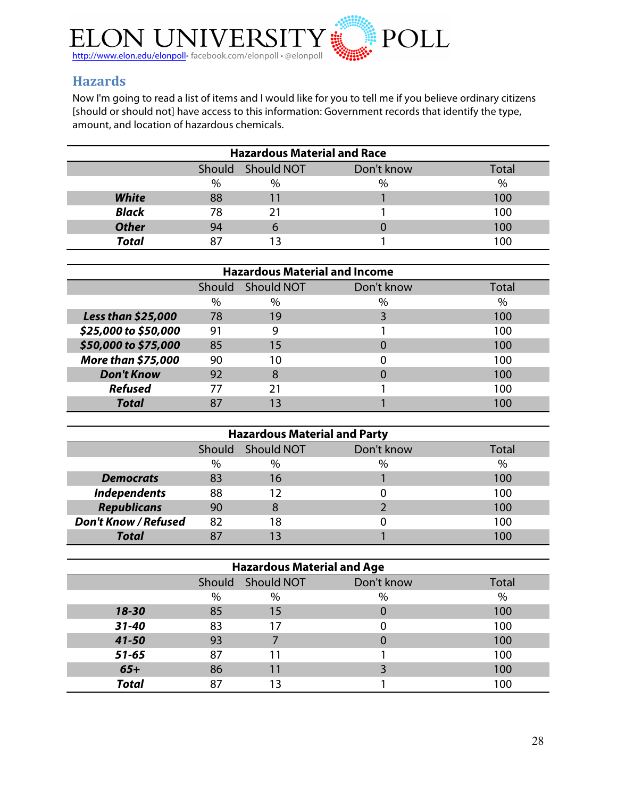

## **Hazards**

Now I'm going to read a list of items and I would like for you to tell me if you believe ordinary citizens [should or should not] have access to this information: Government records that identify the type, amount, and location of hazardous chemicals.

| <b>Hazardous Material and Race</b> |      |                   |            |       |  |
|------------------------------------|------|-------------------|------------|-------|--|
|                                    |      | Should Should NOT | Don't know | Total |  |
|                                    | $\%$ | $\%$              | $\%$       | $\%$  |  |
| <b>White</b>                       | 88   | 11                |            | 100   |  |
| <b>Black</b>                       | 78   | 21                |            | 100   |  |
| <b>Other</b>                       | 94   | O                 |            | 100   |  |
| <b>Total</b>                       | 87   |                   |            | 100   |  |

| <b>Hazardous Material and Income</b> |               |                   |            |       |  |
|--------------------------------------|---------------|-------------------|------------|-------|--|
|                                      | <b>Should</b> | <b>Should NOT</b> | Don't know | Total |  |
|                                      | $\%$          | %                 | $\%$       | $\%$  |  |
| <b>Less than \$25,000</b>            | 78            | 19                |            | 100   |  |
| \$25,000 to \$50,000                 | 91            | 9                 |            | 100   |  |
| \$50,000 to \$75,000                 | 85            | 15                |            | 100   |  |
| <b>More than \$75,000</b>            | 90            | 10                |            | 100   |  |
| <b>Don't Know</b>                    | 92            | 8                 |            | 100   |  |
| <b>Refused</b>                       | 77            | 21                |            | 100   |  |
| <b>Total</b>                         |               | 13                |            | 100   |  |

| <b>Hazardous Material and Party</b> |      |                   |            |       |  |
|-------------------------------------|------|-------------------|------------|-------|--|
|                                     |      | Should Should NOT | Don't know | Total |  |
|                                     | $\%$ | $\%$              | $\%$       | $\%$  |  |
| <b>Democrats</b>                    | 83   | 16                |            | 100   |  |
| <b>Independents</b>                 | 88   | 12                |            | 100   |  |
| <b>Republicans</b>                  | 90   |                   |            | 100   |  |
| <b>Don't Know / Refused</b>         | 82   | 18                |            | 100   |  |
| <b>Total</b>                        |      | 13                |            | 100   |  |

| <b>Hazardous Material and Age</b> |        |                   |            |       |  |
|-----------------------------------|--------|-------------------|------------|-------|--|
|                                   | Should | <b>Should NOT</b> | Don't know | Total |  |
|                                   | $\%$   | $\%$              | $\%$       | $\%$  |  |
| 18-30                             | 85     | 15                |            | 100   |  |
| $31 - 40$                         | 83     | 17                |            | 100   |  |
| 41-50                             | 93     |                   |            | 100   |  |
| $51 - 65$                         | 87     | 11                |            | 100   |  |
| $65+$                             | 86     | 11                |            | 100   |  |
| <b>Total</b>                      | 87     | 13                |            | 100   |  |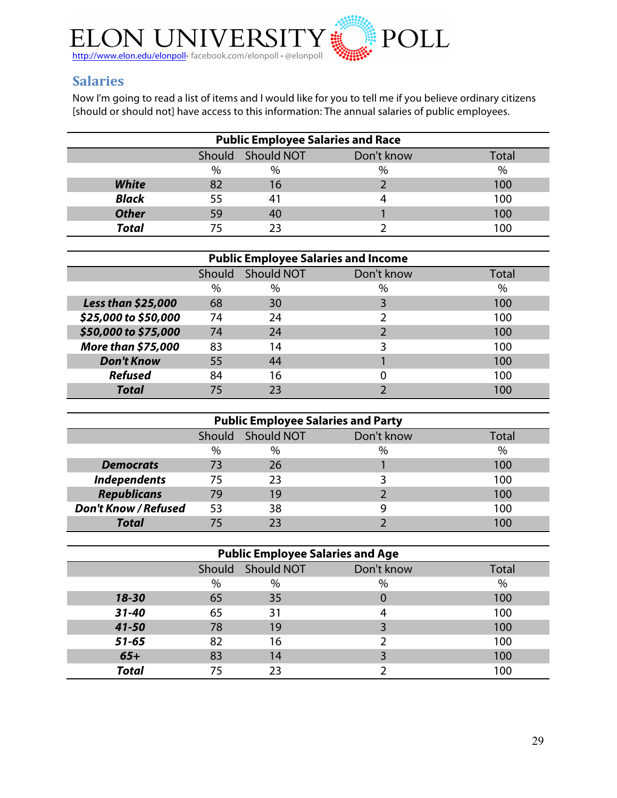

# **Salaries**

Now I'm going to read a list of items and I would like for you to tell me if you believe ordinary citizens [should or should not] have access to this information: The annual salaries of public employees.

| <b>Public Employee Salaries and Race</b> |      |                   |            |       |  |
|------------------------------------------|------|-------------------|------------|-------|--|
|                                          |      | Should Should NOT | Don't know | Total |  |
|                                          | $\%$ | %                 | $\%$       | %     |  |
| <b>White</b>                             | 82   | 16                |            | 100   |  |
| <b>Black</b>                             | 55   | 41                |            | 100   |  |
| <b>Other</b>                             | 59   | 40                |            | 100   |  |
| <b>Total</b>                             |      | つつ                |            | 100   |  |

| <b>Public Employee Salaries and Income</b> |        |                   |            |       |  |
|--------------------------------------------|--------|-------------------|------------|-------|--|
|                                            | Should | <b>Should NOT</b> | Don't know | Total |  |
|                                            | $\%$   | %                 | $\%$       | $\%$  |  |
| Less than \$25,000                         | 68     | 30                | 3          | 100   |  |
| \$25,000 to \$50,000                       | 74     | 24                |            | 100   |  |
| \$50,000 to \$75,000                       | 74     | 24                |            | 100   |  |
| More than \$75,000                         | 83     | 14                |            | 100   |  |
| <b>Don't Know</b>                          | 55     | 44                |            | 100   |  |
| <b>Refused</b>                             | 84     | 16                |            | 100   |  |
| <b>Total</b>                               | 75     | 23                |            | 100   |  |

| <b>Public Employee Salaries and Party</b> |        |                   |            |       |  |
|-------------------------------------------|--------|-------------------|------------|-------|--|
|                                           | Should | <b>Should NOT</b> | Don't know | Total |  |
|                                           | $\%$   | $\%$              | $\%$       | $\%$  |  |
| <b>Democrats</b>                          | 73     | 26                |            | 100   |  |
| <b>Independents</b>                       | 75     | 23                |            | 100   |  |
| <b>Republicans</b>                        | 79     | 19                |            | 100   |  |
| <b>Don't Know / Refused</b>               | 53     | 38                | q          | 100   |  |
| <b>Total</b>                              |        | 23                |            | 100   |  |

| <b>Public Employee Salaries and Age</b> |        |                   |            |       |  |
|-----------------------------------------|--------|-------------------|------------|-------|--|
|                                         | Should | <b>Should NOT</b> | Don't know | Total |  |
|                                         | $\%$   | %                 | %          | %     |  |
| 18-30                                   | 65     | 35                |            | 100   |  |
| $31 - 40$                               | 65     | 31                |            | 100   |  |
| 41-50                                   | 78     | 19                | 3          | 100   |  |
| $51 - 65$                               | 82     | 16                |            | 100   |  |
| $65+$                                   | 83     | 14                |            | 100   |  |
| <b>Total</b>                            | 75     | 23                |            | 100   |  |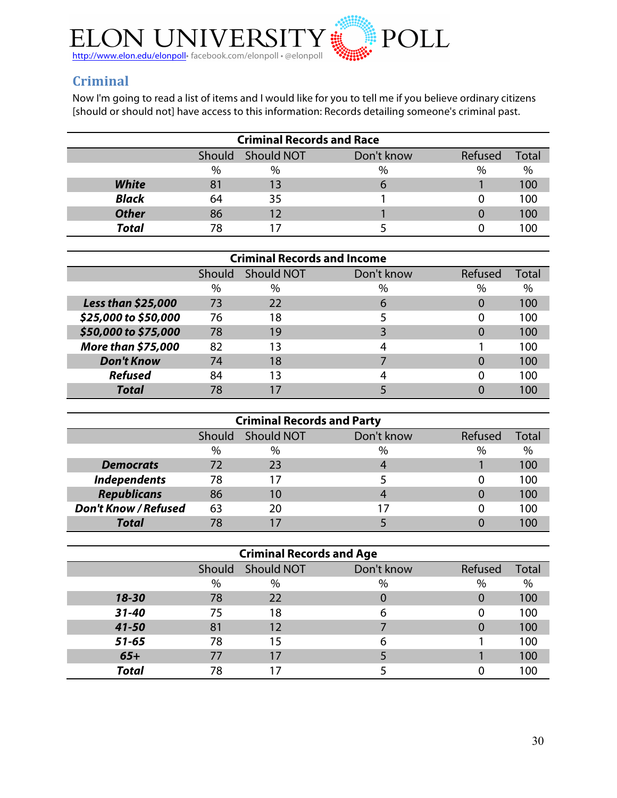

# **Criminal**

Now I'm going to read a list of items and I would like for you to tell me if you believe ordinary citizens [should or should not] have access to this information: Records detailing someone's criminal past.

| <b>Criminal Records and Race</b> |      |                   |            |         |              |  |  |  |  |
|----------------------------------|------|-------------------|------------|---------|--------------|--|--|--|--|
|                                  |      | Should Should NOT | Don't know | Refused | <b>Total</b> |  |  |  |  |
|                                  | $\%$ | $\%$              | $\%$       | %       | $\%$         |  |  |  |  |
| <b>White</b>                     | 81   | 13                |            |         | 100          |  |  |  |  |
| <b>Black</b>                     | 64   | 35                |            |         | 100          |  |  |  |  |
| <b>Other</b>                     | 86   |                   |            |         | 100          |  |  |  |  |
| <b>Total</b>                     | 78   |                   |            |         | 100          |  |  |  |  |

| <b>Criminal Records and Income</b> |        |                   |            |          |       |  |  |  |  |
|------------------------------------|--------|-------------------|------------|----------|-------|--|--|--|--|
|                                    | Should | <b>Should NOT</b> | Don't know | Refused  | Total |  |  |  |  |
|                                    | $\%$   | $\%$              | $\%$       | $\%$     | $\%$  |  |  |  |  |
| <b>Less than \$25,000</b>          | 73     | 22                | 6          | $\Omega$ | 100   |  |  |  |  |
| \$25,000 to \$50,000               | 76     | 18                |            |          | 100   |  |  |  |  |
| \$50,000 to \$75,000               | 78     | 19                |            | $\Omega$ | 100   |  |  |  |  |
| More than \$75,000                 | 82     | 13                | 4          |          | 100   |  |  |  |  |
| <b>Don't Know</b>                  | 74     | 18                |            | O        | 100   |  |  |  |  |
| <b>Refused</b>                     | 84     | 13                | Δ          |          | 100   |  |  |  |  |
| Total                              | 78     |                   |            |          | 100   |  |  |  |  |

| <b>Criminal Records and Party</b> |        |                   |            |         |       |  |  |  |
|-----------------------------------|--------|-------------------|------------|---------|-------|--|--|--|
|                                   | Should | <b>Should NOT</b> | Don't know | Refused | Total |  |  |  |
|                                   | $\%$   | $\%$              | $\%$       | %       | $\%$  |  |  |  |
| <b>Democrats</b>                  | 72     | 23                | $\Delta$   |         | 100   |  |  |  |
| <b>Independents</b>               | 78     | 17                |            |         | 100   |  |  |  |
| <b>Republicans</b>                | 86     | 10                |            |         | 100   |  |  |  |
| <b>Don't Know / Refused</b>       | 63     | 20                |            |         | 100   |  |  |  |
| <b>Total</b>                      |        |                   |            |         |       |  |  |  |

| <b>Criminal Records and Age</b> |        |                   |            |          |       |  |  |  |  |
|---------------------------------|--------|-------------------|------------|----------|-------|--|--|--|--|
|                                 | Should | <b>Should NOT</b> | Don't know | Refused  | Total |  |  |  |  |
|                                 | $\%$   | $\%$              | $\%$       | $\%$     | $\%$  |  |  |  |  |
| 18-30                           | 78     | 22                |            | $\Omega$ | 100   |  |  |  |  |
| $31 - 40$                       | 75     | 18                | 6          | O        | 100   |  |  |  |  |
| 41-50                           | 81     | 12                |            | 0        | 100   |  |  |  |  |
| $51 - 65$                       | 78     | 15                | 6          |          | 100   |  |  |  |  |
| $65+$                           | 77     | 17                |            |          | 100   |  |  |  |  |
| <b>Total</b>                    | 78     | 17                |            | 0        | 100   |  |  |  |  |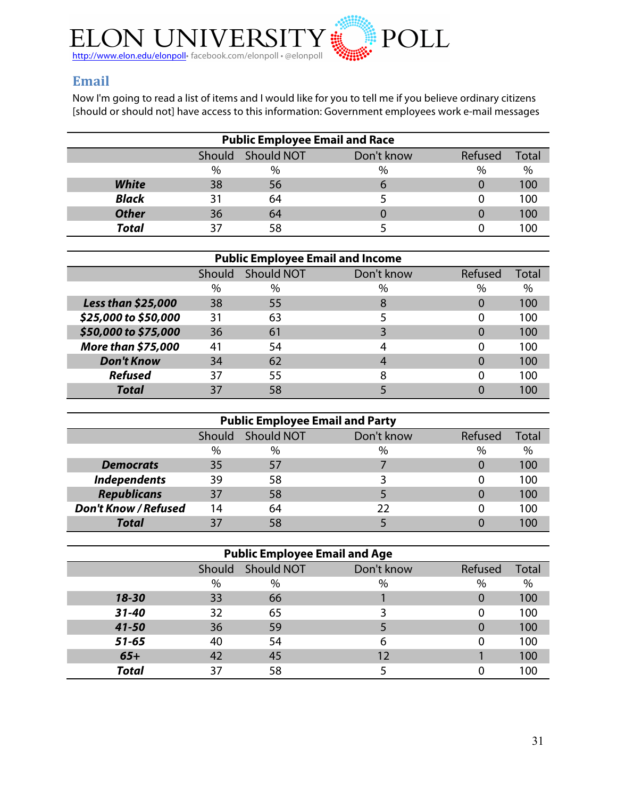

## **Email**

Now I'm going to read a list of items and I would like for you to tell me if you believe ordinary citizens [should or should not] have access to this information: Government employees work e-mail messages

| <b>Public Employee Email and Race</b> |        |                   |            |         |       |  |  |  |  |
|---------------------------------------|--------|-------------------|------------|---------|-------|--|--|--|--|
|                                       | Should | <b>Should NOT</b> | Don't know | Refused | Total |  |  |  |  |
|                                       | $\%$   | %                 | $\%$       | $\%$    | $\%$  |  |  |  |  |
| <b>White</b>                          | 38     | 56                |            |         | 100   |  |  |  |  |
| <b>Black</b>                          |        | 64                |            |         | 100   |  |  |  |  |
| <b>Other</b>                          | 36     | 64                |            |         | 100   |  |  |  |  |
| <b>Total</b>                          |        | 58                |            |         | 100   |  |  |  |  |

| <b>Public Employee Email and Income</b> |        |                   |            |          |       |  |  |  |  |
|-----------------------------------------|--------|-------------------|------------|----------|-------|--|--|--|--|
|                                         | Should | <b>Should NOT</b> | Don't know | Refused  | Total |  |  |  |  |
|                                         | $\%$   | %                 | $\%$       | $\%$     | $\%$  |  |  |  |  |
| <b>Less than \$25,000</b>               | 38     | 55                | 8          | $\Omega$ | 100   |  |  |  |  |
| \$25,000 to \$50,000                    | 31     | 63                |            |          | 100   |  |  |  |  |
| \$50,000 to \$75,000                    | 36     | 61                |            | 0        | 100   |  |  |  |  |
| <b>More than \$75,000</b>               | 41     | 54                |            |          | 100   |  |  |  |  |
| <b>Don't Know</b>                       | 34     | 62                | 4          | O        | 100   |  |  |  |  |
| <b>Refused</b>                          | 37     | 55                | 8          |          | 100   |  |  |  |  |
| Total                                   | 37     | 58                |            |          | 100   |  |  |  |  |

| <b>Public Employee Email and Party</b> |        |                   |               |         |       |  |  |  |  |
|----------------------------------------|--------|-------------------|---------------|---------|-------|--|--|--|--|
|                                        | Should | <b>Should NOT</b> | Don't know    | Refused | Total |  |  |  |  |
|                                        | $\%$   | $\%$              | $\frac{0}{0}$ | %       | $\%$  |  |  |  |  |
| <b>Democrats</b>                       | 35     | 57                |               |         | 100   |  |  |  |  |
| <b>Independents</b>                    | 39     | 58                |               |         | 100   |  |  |  |  |
| <b>Republicans</b>                     | 37     | 58                |               |         | 100   |  |  |  |  |
| <b>Don't Know / Refused</b>            | 14     | 64                | 22            |         | 100   |  |  |  |  |
| <b>Total</b>                           |        | 58                |               |         |       |  |  |  |  |

| <b>Public Employee Email and Age</b> |        |                   |            |          |       |  |  |  |  |
|--------------------------------------|--------|-------------------|------------|----------|-------|--|--|--|--|
|                                      | Should | <b>Should NOT</b> | Don't know | Refused  | Total |  |  |  |  |
|                                      | $\%$   | $\%$              | $\%$       | $\%$     | $\%$  |  |  |  |  |
| 18-30                                | 33     | 66                |            | $\Omega$ | 100   |  |  |  |  |
| $31 - 40$                            | 32     | 65                |            | 0        | 100   |  |  |  |  |
| 41-50                                | 36     | 59                |            | 0        | 100   |  |  |  |  |
| $51 - 65$                            | 40     | 54                | 6          | 0        | 100   |  |  |  |  |
| $65+$                                | 42     | 45                | 12         |          | 100   |  |  |  |  |
| <b>Total</b>                         | 37     | 58                |            | 0        | 100   |  |  |  |  |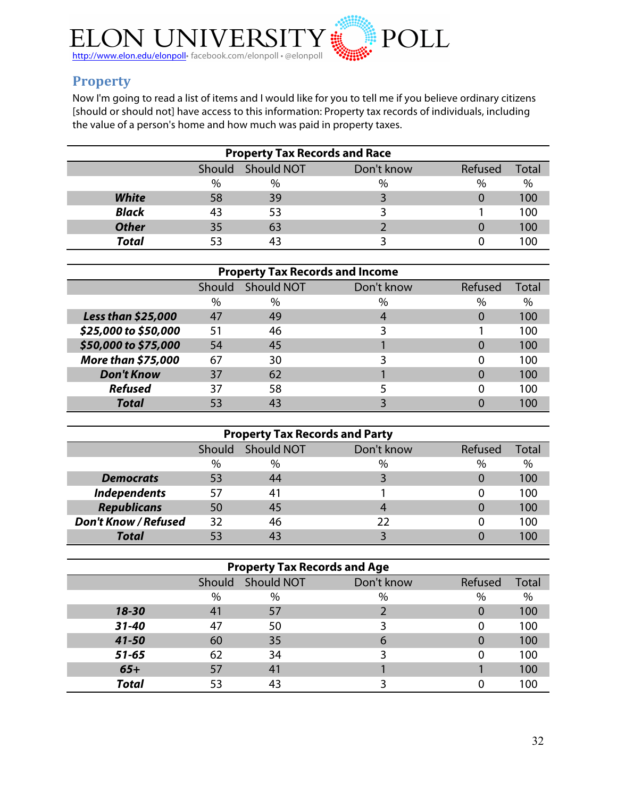

# **Property**

Now I'm going to read a list of items and I would like for you to tell me if you believe ordinary citizens [should or should not] have access to this information: Property tax records of individuals, including the value of a person's home and how much was paid in property taxes.

| <b>Property Tax Records and Race</b> |        |            |            |         |              |  |  |  |  |
|--------------------------------------|--------|------------|------------|---------|--------------|--|--|--|--|
|                                      | Should | Should NOT | Don't know | Refused | <b>Total</b> |  |  |  |  |
|                                      | $\%$   | %          | $\%$       | $\%$    | %            |  |  |  |  |
| <b>White</b>                         | 58     | 39         |            |         | 100          |  |  |  |  |
| <b>Black</b>                         | 43     | 53         |            |         | 100          |  |  |  |  |
| <b>Other</b>                         | 35     | 63         |            |         | 100          |  |  |  |  |
| <b>Total</b>                         |        |            |            |         | 00           |  |  |  |  |

| <b>Property Tax Records and Income</b> |        |                   |            |         |       |  |  |  |  |
|----------------------------------------|--------|-------------------|------------|---------|-------|--|--|--|--|
|                                        | Should | <b>Should NOT</b> | Don't know | Refused | Total |  |  |  |  |
|                                        | $\%$   | %                 | $\%$       | $\%$    | $\%$  |  |  |  |  |
| <b>Less than \$25,000</b>              | 47     | 49                |            | O       | 100   |  |  |  |  |
| \$25,000 to \$50,000                   | 51     | 46                |            |         | 100   |  |  |  |  |
| \$50,000 to \$75,000                   | 54     | 45                |            | O       | 100   |  |  |  |  |
| <b>More than \$75,000</b>              | 67     | 30                |            |         | 100   |  |  |  |  |
| <b>Don't Know</b>                      | 37     | 62                |            | 0       | 100   |  |  |  |  |
| <b>Refused</b>                         | 37     | 58                |            |         | 100   |  |  |  |  |
| Total                                  | 53     | 43                |            |         | 100   |  |  |  |  |

| <b>Property Tax Records and Party</b> |        |                   |            |         |       |  |  |  |  |
|---------------------------------------|--------|-------------------|------------|---------|-------|--|--|--|--|
|                                       | Should | <b>Should NOT</b> | Don't know | Refused | Total |  |  |  |  |
|                                       | $\%$   | $\%$              | $\%$       | $\%$    | $\%$  |  |  |  |  |
| <b>Democrats</b>                      | 53     | 44                |            |         | 100   |  |  |  |  |
| <b>Independents</b>                   |        | 41                |            |         | 100   |  |  |  |  |
| <b>Republicans</b>                    | 50     | 45                |            |         | 100   |  |  |  |  |
| <b>Don't Know / Refused</b>           | 32     | 46                | 22         |         | 100   |  |  |  |  |
| <b>Total</b>                          |        | 43                |            |         |       |  |  |  |  |

| <b>Property Tax Records and Age</b> |        |                   |            |         |       |  |  |  |  |
|-------------------------------------|--------|-------------------|------------|---------|-------|--|--|--|--|
|                                     | Should | <b>Should NOT</b> | Don't know | Refused | Total |  |  |  |  |
|                                     | $\%$   | %                 | $\%$       | $\%$    | %     |  |  |  |  |
| 18-30                               | 41     | 57                |            | 0       | 100   |  |  |  |  |
| $31 - 40$                           | 47     | 50                | 3          |         | 100   |  |  |  |  |
| 41-50                               | 60     | 35                | 6          |         | 100   |  |  |  |  |
| $51 - 65$                           | 62     | 34                |            |         | 100   |  |  |  |  |
| $65+$                               | 57     | 41                |            |         | 100   |  |  |  |  |
| <b>Total</b>                        | 53     | 43                |            |         | 100   |  |  |  |  |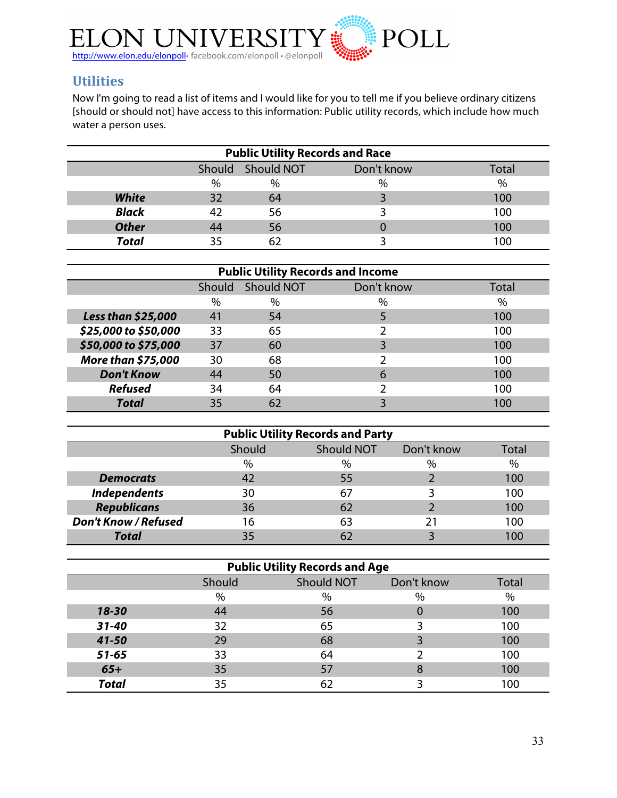

# **Utilities**

Now I'm going to read a list of items and I would like for you to tell me if you believe ordinary citizens [should or should not] have access to this information: Public utility records, which include how much water a person uses.

| <b>Public Utility Records and Race</b> |      |                   |            |       |  |  |
|----------------------------------------|------|-------------------|------------|-------|--|--|
|                                        |      | Should Should NOT | Don't know | Total |  |  |
|                                        | $\%$ | $\%$              | $\%$       | $\%$  |  |  |
| <b>White</b>                           | 32   | 64                |            | 100   |  |  |
| <b>Black</b>                           |      | 56                |            | 100   |  |  |
| <b>Other</b>                           | 44   | 56                |            | 100   |  |  |
| <b>Total</b>                           |      | 62                |            | 100   |  |  |

| <b>Public Utility Records and Income</b> |        |                   |            |       |  |  |
|------------------------------------------|--------|-------------------|------------|-------|--|--|
|                                          | Should | <b>Should NOT</b> | Don't know | Total |  |  |
|                                          | $\%$   | $\%$              | $\%$       | $\%$  |  |  |
| Less than \$25,000                       | 41     | 54                |            | 100   |  |  |
| \$25,000 to \$50,000                     | 33     | 65                |            | 100   |  |  |
| \$50,000 to \$75,000                     | 37     | 60                |            | 100   |  |  |
| <b>More than \$75,000</b>                | 30     | 68                |            | 100   |  |  |
| <b>Don't Know</b>                        | 44     | 50                | 6          | 100   |  |  |
| <b>Refused</b>                           | 34     | 64                |            | 100   |  |  |
| <b>Total</b>                             | 35     | 62                |            | 100   |  |  |

| <b>Public Utility Records and Party</b>            |    |      |      |     |  |  |
|----------------------------------------------------|----|------|------|-----|--|--|
| <b>Should NOT</b><br>Should<br>Don't know<br>Total |    |      |      |     |  |  |
|                                                    | %  | $\%$ | $\%$ | %   |  |  |
| <b>Democrats</b>                                   | 42 | 55   |      | 100 |  |  |
| Independents                                       | 30 | 67   |      | 100 |  |  |
| <b>Republicans</b>                                 | 36 | 62   |      | 100 |  |  |
| <b>Don't Know / Refused</b>                        | 16 | 63   | 21   | 100 |  |  |
| <b>Total</b>                                       | 35 |      |      | 100 |  |  |

| <b>Public Utility Records and Age</b> |        |                   |            |       |  |  |
|---------------------------------------|--------|-------------------|------------|-------|--|--|
|                                       | Should | <b>Should NOT</b> | Don't know | Total |  |  |
|                                       | $\%$   | $\%$              | $\%$       | $\%$  |  |  |
| 18-30                                 | 44     | 56                | $\Omega$   | 100   |  |  |
| $31 - 40$                             | 32     | 65                | ξ          | 100   |  |  |
| 41-50                                 | 29     | 68                |            | 100   |  |  |
| $51 - 65$                             | 33     | 64                |            | 100   |  |  |
| $65+$                                 | 35     | 57                | 8          | 100   |  |  |
| <b>Total</b>                          | 35     | 62                |            | 100   |  |  |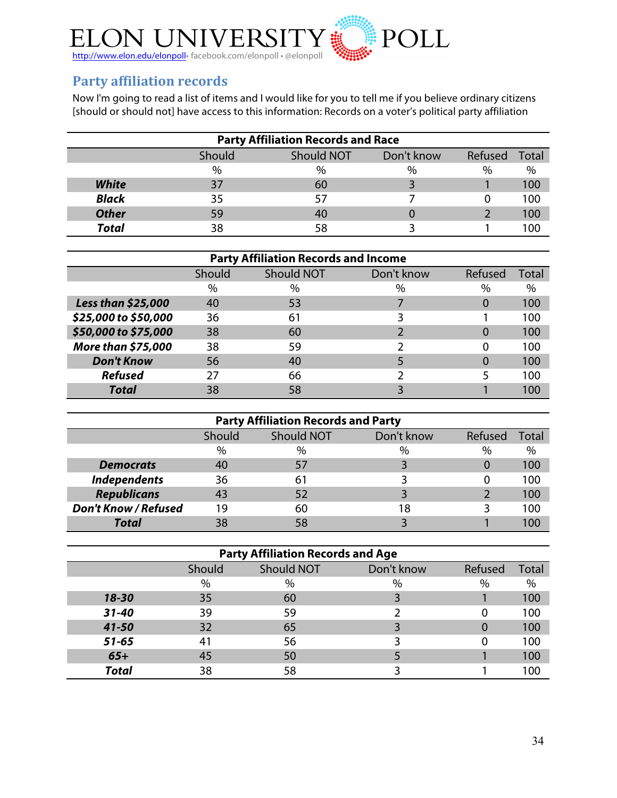

# **Party affiliation records**

Now I'm going to read a list of items and I would like for you to tell me if you believe ordinary citizens [should or should not] have access to this information: Records on a voter's political party affiliation

| <b>Party Affiliation Records and Race</b> |        |                   |            |         |       |  |
|-------------------------------------------|--------|-------------------|------------|---------|-------|--|
|                                           | Should | <b>Should NOT</b> | Don't know | Refused | Total |  |
|                                           | $\%$   | $\frac{0}{0}$     | %          | $\%$    | $\%$  |  |
| <b>White</b>                              | 37     | 60                |            |         | 100   |  |
| <b>Black</b>                              | 35     | 57                |            |         | 100   |  |
| <b>Other</b>                              | 59     | 40                |            |         | 100   |  |
| <b>Total</b>                              | 38     | 58                |            |         | 100   |  |

| <b>Party Affiliation Records and Income</b> |        |                   |            |          |       |  |
|---------------------------------------------|--------|-------------------|------------|----------|-------|--|
|                                             | Should | <b>Should NOT</b> | Don't know | Refused  | Total |  |
|                                             | $\%$   | $\frac{0}{0}$     | $\%$       | $\%$     | $\%$  |  |
| <b>Less than \$25,000</b>                   | 40     | 53                |            | $\Omega$ | 100   |  |
| \$25,000 to \$50,000                        | 36     | 61                |            |          | 100   |  |
| \$50,000 to \$75,000                        | 38     | 60                |            | 0        | 100   |  |
| More than \$75,000                          | 38     | 59                |            | O        | 100   |  |
| <b>Don't Know</b>                           | 56     | 40                |            | $\Omega$ | 100   |  |
| <b>Refused</b>                              | 27     | 66                |            |          | 100   |  |
| <b>Total</b>                                | 38     | 58                |            |          | 100   |  |

| <b>Party Affiliation Records and Party</b> |        |                   |            |         |              |  |
|--------------------------------------------|--------|-------------------|------------|---------|--------------|--|
|                                            | Should | <b>Should NOT</b> | Don't know | Refused | <b>Total</b> |  |
|                                            | $\%$   | $\%$              | $\%$       | $\%$    | %            |  |
| <b>Democrats</b>                           | 40     | 57                |            |         | 100          |  |
| <b>Independents</b>                        | 36     | 61                |            |         | 100          |  |
| <b>Republicans</b>                         | 43     | 52                |            |         | 100          |  |
| <b>Don't Know / Refused</b>                | 19     | 60                | 18         |         | 100          |  |
| <b>Total</b>                               | 38     | 58                |            |         | 100          |  |

| <b>Party Affiliation Records and Age</b> |        |                   |            |         |       |  |  |
|------------------------------------------|--------|-------------------|------------|---------|-------|--|--|
|                                          | Should | <b>Should NOT</b> | Don't know | Refused | Total |  |  |
|                                          | $\%$   | $\%$              | $\%$       | $\%$    | %     |  |  |
| 18-30                                    | 35     | 60                |            |         | 100   |  |  |
| $31 - 40$                                | 39     | 59                |            |         | 100   |  |  |
| 41-50                                    | 32     | 65                |            |         | 100   |  |  |
| $51 - 65$                                | 41     | 56                |            |         | 100   |  |  |
| $65+$                                    | 45     | 50                |            |         | 100   |  |  |
| <b>Total</b>                             | 38     | 58                |            |         | 100   |  |  |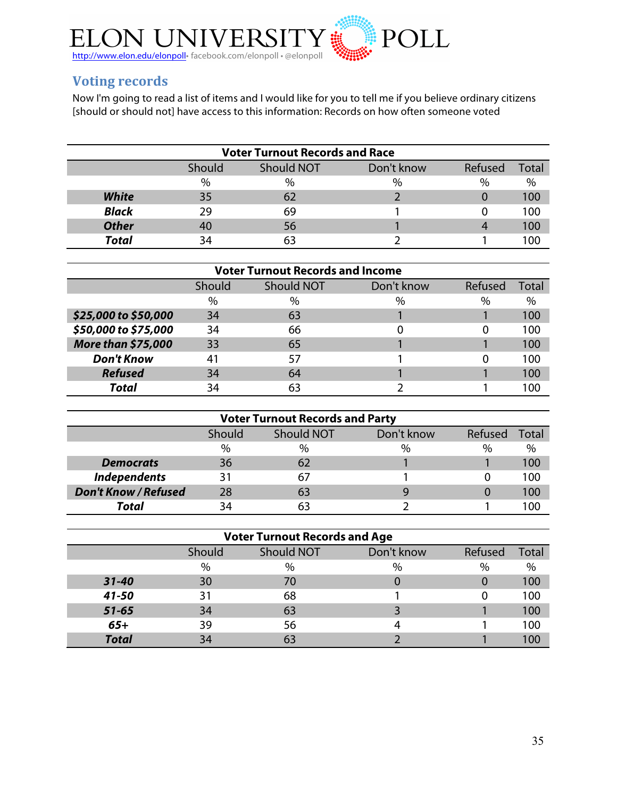

# **Voting records**

Now I'm going to read a list of items and I would like for you to tell me if you believe ordinary citizens [should or should not] have access to this information: Records on how often someone voted

| <b>Voter Turnout Records and Race</b> |        |                   |            |         |       |  |
|---------------------------------------|--------|-------------------|------------|---------|-------|--|
|                                       | Should | <b>Should NOT</b> | Don't know | Refused | Total |  |
|                                       | $\%$   | $\%$              | $\%$       | $\%$    | $\%$  |  |
| <b>White</b>                          | 35     | 62                |            |         | 100   |  |
| <b>Black</b>                          | 29     | 69                |            |         | 100   |  |
| <b>Other</b>                          | 40     | 56                |            |         | 100   |  |
| <b>Total</b>                          | 34     | 63                |            |         | 100   |  |

| <b>Voter Turnout Records and Income</b> |        |                   |            |         |       |  |
|-----------------------------------------|--------|-------------------|------------|---------|-------|--|
|                                         | Should | <b>Should NOT</b> | Don't know | Refused | Total |  |
|                                         | $\%$   | $\%$              | $\%$       | $\%$    | $\%$  |  |
| \$25,000 to \$50,000                    | 34     | 63                |            |         | 100   |  |
| \$50,000 to \$75,000                    | 34     | 66                | 0          |         | 100   |  |
| <b>More than \$75,000</b>               | 33     | 65                |            |         | 100   |  |
| <b>Don't Know</b>                       | 41     | 57                |            |         | 100   |  |
| <b>Refused</b>                          | 34     | 64                |            |         | 100   |  |
| <b>Total</b>                            | 34     | 63                |            |         | 100   |  |

| <b>Voter Turnout Records and Party</b> |        |                   |            |         |       |  |
|----------------------------------------|--------|-------------------|------------|---------|-------|--|
|                                        | Should | <b>Should NOT</b> | Don't know | Refused | Total |  |
|                                        | $\%$   | $\%$              | $\%$       | $\%$    | $\%$  |  |
| <b>Democrats</b>                       | 36     | 62                |            |         | 100   |  |
| <b>Independents</b>                    | 31     | 67                |            |         | 100   |  |
| <b>Don't Know / Refused</b>            | 28     | 63                |            |         | 100   |  |
| <b>Total</b>                           | २⊿     | 63                |            |         | 100   |  |

| <b>Voter Turnout Records and Age</b> |        |                   |            |         |       |  |  |
|--------------------------------------|--------|-------------------|------------|---------|-------|--|--|
|                                      | Should | <b>Should NOT</b> | Don't know | Refused | Total |  |  |
|                                      | $\%$   | %                 | $\%$       | $\%$    | %     |  |  |
| $31 - 40$                            | 30     | 70                |            |         | 100   |  |  |
| 41-50                                | 31     | 68                |            |         | 100   |  |  |
| $51 - 65$                            | 34     | 63                |            |         | 100   |  |  |
| $65+$                                | 39     | 56                |            |         | 100   |  |  |
| <b>Total</b>                         | 34     | 63                |            |         | 100   |  |  |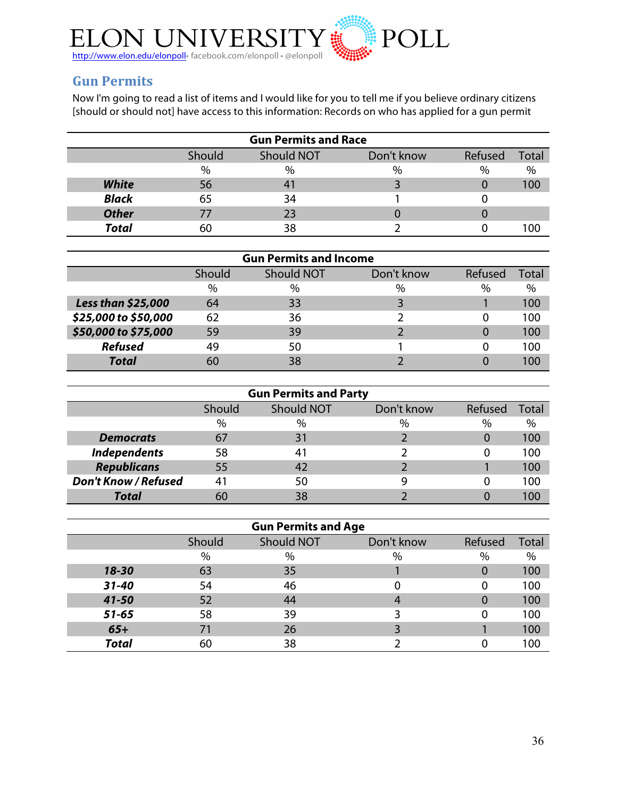

# **Gun Permits**

Now I'm going to read a list of items and I would like for you to tell me if you believe ordinary citizens [should or should not] have access to this information: Records on who has applied for a gun permit

| <b>Gun Permits and Race</b> |                                                      |      |      |      |     |  |  |  |
|-----------------------------|------------------------------------------------------|------|------|------|-----|--|--|--|
|                             | <b>Should NOT</b><br>Should<br>Don't know<br>Refused |      |      |      |     |  |  |  |
|                             | $\%$                                                 | $\%$ | $\%$ | $\%$ | %   |  |  |  |
| <b>White</b>                | 56                                                   | 41   |      |      | 100 |  |  |  |
| <b>Black</b>                | 65                                                   | 34   |      |      |     |  |  |  |
| <b>Other</b>                |                                                      | 23   |      |      |     |  |  |  |
| <b>Total</b>                | 60                                                   | 38   |      |      | 100 |  |  |  |

| <b>Gun Permits and Income</b> |                                                               |    |      |          |      |  |  |  |  |
|-------------------------------|---------------------------------------------------------------|----|------|----------|------|--|--|--|--|
|                               | <b>Should NOT</b><br>Should<br>Don't know<br>Refused<br>Total |    |      |          |      |  |  |  |  |
|                               | $\%$                                                          | %  | $\%$ | $\%$     | $\%$ |  |  |  |  |
| <b>Less than \$25,000</b>     | 64                                                            | 33 |      |          | 100  |  |  |  |  |
| \$25,000 to \$50,000          | 62                                                            | 36 |      | 0        | 100  |  |  |  |  |
| \$50,000 to \$75,000          | 59                                                            | 39 |      | 0        | 100  |  |  |  |  |
| <b>Refused</b>                | 49                                                            | 50 |      | $\Omega$ | 100  |  |  |  |  |
| <b>Total</b>                  | 60                                                            | 38 |      |          | 100  |  |  |  |  |

| <b>Gun Permits and Party</b> |        |                   |            |         |       |  |  |  |
|------------------------------|--------|-------------------|------------|---------|-------|--|--|--|
|                              | Should | <b>Should NOT</b> | Don't know | Refused | Total |  |  |  |
|                              | $\%$   | $\%$              | %          | $\%$    | $\%$  |  |  |  |
| <b>Democrats</b>             | 67     | 31                |            |         | 100   |  |  |  |
| <b>Independents</b>          | 58     | 41                |            |         | 100   |  |  |  |
| <b>Republicans</b>           | 55     | 42                |            |         | 100   |  |  |  |
| <b>Don't Know / Refused</b>  | 41     | 50                |            |         | 100   |  |  |  |
| <b>Total</b>                 | 60     | 38                |            |         | 100   |  |  |  |

| <b>Gun Permits and Age</b> |        |                   |            |         |       |  |  |  |
|----------------------------|--------|-------------------|------------|---------|-------|--|--|--|
|                            | Should | <b>Should NOT</b> | Don't know | Refused | Total |  |  |  |
|                            | $\%$   | $\%$              | $\%$       | $\%$    | %     |  |  |  |
| 18-30                      | 63     | 35                |            | 0       | 100   |  |  |  |
| $31 - 40$                  | 54     | 46                |            | 0       | 100   |  |  |  |
| 41-50                      | 52     | 44                |            | 0       | 100   |  |  |  |
| $51 - 65$                  | 58     | 39                | ર          |         | 100   |  |  |  |
| $65+$                      | 71     | 26                |            |         | 100   |  |  |  |
| <b>Total</b>               | 60     | 38                |            |         | 100   |  |  |  |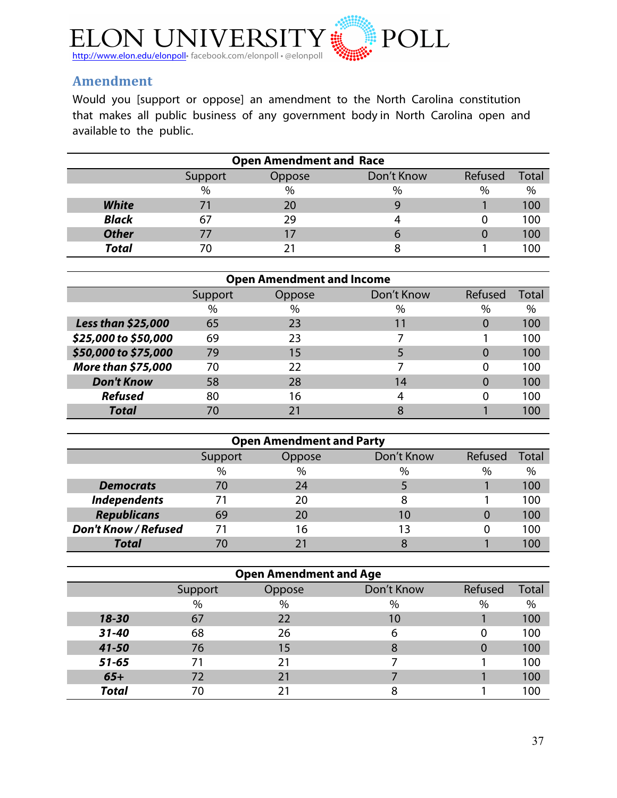

### **Amendment**

Would you [support or oppose] an amendment to the North Carolina constitution that makes all public business of any government body in North Carolina open and available to the public.

| <b>Open Amendment and Race</b> |                                            |      |      |      |     |  |  |  |
|--------------------------------|--------------------------------------------|------|------|------|-----|--|--|--|
|                                | Don't Know<br>Refused<br>Support<br>Oppose |      |      |      |     |  |  |  |
|                                | $\%$                                       | $\%$ | $\%$ | $\%$ | %   |  |  |  |
| <b>White</b>                   |                                            | 20   |      |      | 100 |  |  |  |
| <b>Black</b>                   | 67                                         | 29   |      |      | 100 |  |  |  |
| <b>Other</b>                   |                                            |      |      |      | 100 |  |  |  |
| <b>Total</b>                   |                                            |      |      |      | 100 |  |  |  |

| <b>Open Amendment and Income</b> |         |        |            |         |       |  |  |  |
|----------------------------------|---------|--------|------------|---------|-------|--|--|--|
|                                  | Support | Oppose | Don't Know | Refused | Total |  |  |  |
|                                  | $\%$    | $\%$   | $\%$       | $\%$    | $\%$  |  |  |  |
| Less than \$25,000               | 65      | 23     | 11         |         | 100   |  |  |  |
| \$25,000 to \$50,000             | 69      | 23     |            |         | 100   |  |  |  |
| \$50,000 to \$75,000             | 79      | 15     |            |         | 100   |  |  |  |
| <b>More than \$75,000</b>        | 70      | 22     |            | 0       | 100   |  |  |  |
| <b>Don't Know</b>                | 58      | 28     | 14         |         | 100   |  |  |  |
| <b>Refused</b>                   | 80      | 16     |            |         | 100   |  |  |  |
| <b>Total</b>                     | 70      |        | 8          |         | 100   |  |  |  |

| <b>Open Amendment and Party</b> |                                                     |      |    |      |               |  |  |  |  |
|---------------------------------|-----------------------------------------------------|------|----|------|---------------|--|--|--|--|
|                                 | Don't Know<br>Refused<br>Total<br>Support<br>Oppose |      |    |      |               |  |  |  |  |
|                                 | $\%$                                                | $\%$ | %  | $\%$ | $\%$          |  |  |  |  |
| <b>Democrats</b>                | 70                                                  | 24   |    |      | 100           |  |  |  |  |
| Independents                    |                                                     | 20   | 8  |      | 100           |  |  |  |  |
| <b>Republicans</b>              | 69                                                  | 20   | 10 |      | 100           |  |  |  |  |
| <b>Don't Know / Refused</b>     |                                                     | 16   |    |      | 100           |  |  |  |  |
| Total                           |                                                     |      |    |      | <sup>0C</sup> |  |  |  |  |

| <b>Open Amendment and Age</b> |         |        |            |         |              |  |  |  |  |
|-------------------------------|---------|--------|------------|---------|--------------|--|--|--|--|
|                               | Support | Oppose | Don't Know | Refused | <b>Total</b> |  |  |  |  |
|                               | $\%$    | $\%$   | $\%$       | $\%$    | $\%$         |  |  |  |  |
| 18-30                         | 67      | 22     | 10         |         | 100          |  |  |  |  |
| $31 - 40$                     | 68      | 26     | 6          |         | 100          |  |  |  |  |
| 41-50                         | 76      | 15     | 8          |         | 100          |  |  |  |  |
| $51 - 65$                     | 71      | 21     |            |         | 100          |  |  |  |  |
| $65+$                         | 72      | 21     |            |         | 100          |  |  |  |  |
| <b>Total</b>                  | 70      | 21     | 8          |         | 100          |  |  |  |  |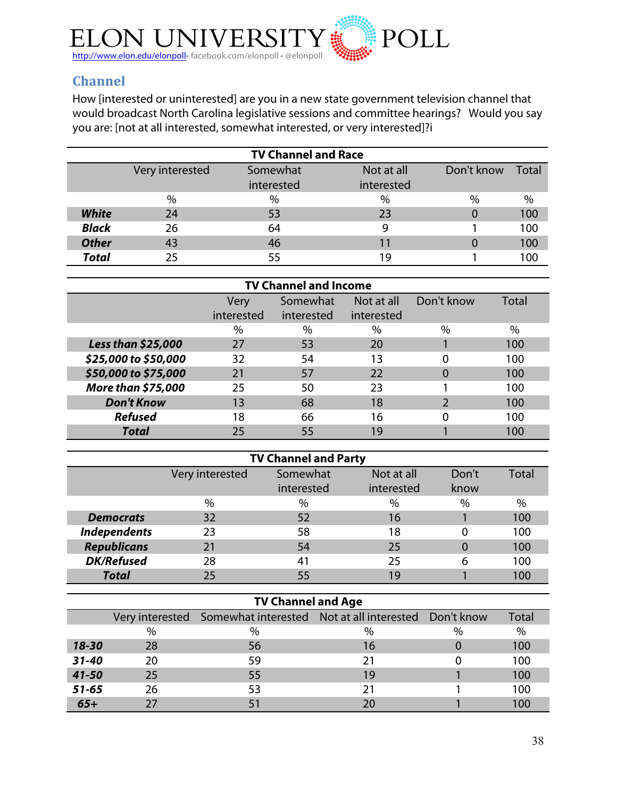

# **Channel**

How [interested or uninterested] are you in a new state government television channel that would broadcast North Carolina legislative sessions and committee hearings? Would you say you are: [not at all interested, somewhat interested, or very interested]?i

| <b>TV Channel and Race</b> |                 |            |            |            |       |  |  |  |  |
|----------------------------|-----------------|------------|------------|------------|-------|--|--|--|--|
|                            | Very interested | Somewhat   | Not at all | Don't know | Total |  |  |  |  |
|                            |                 | interested | interested |            |       |  |  |  |  |
|                            | $\%$            | %          | $\%$       | $\%$       | %     |  |  |  |  |
| <b>White</b>               | 24              | 53         | 23         |            | 100   |  |  |  |  |
| <b>Black</b>               | 26              | 64         | g          |            | 100   |  |  |  |  |
| <b>Other</b>               | 43              | 46         | 11         |            | 100   |  |  |  |  |
| <b>Total</b>               | 25              | 55         | 19         |            | 100   |  |  |  |  |

| <b>TV Channel and Income</b> |            |            |            |               |       |  |  |  |
|------------------------------|------------|------------|------------|---------------|-------|--|--|--|
|                              | Very       | Somewhat   | Not at all | Don't know    | Total |  |  |  |
|                              | interested | interested | interested |               |       |  |  |  |
|                              | %          | $\%$       | $\%$       | %             | $\%$  |  |  |  |
| <b>Less than \$25,000</b>    | 27         | 53         | 20         |               | 100   |  |  |  |
| \$25,000 to \$50,000         | 32         | 54         | 13         | 0             | 100   |  |  |  |
| \$50,000 to \$75,000         | 21         | 57         | 22         | 0             | 100   |  |  |  |
| <b>More than \$75,000</b>    | 25         | 50         | 23         |               | 100   |  |  |  |
| <b>Don't Know</b>            | 13         | 68         | 18         | $\mathcal{P}$ | 100   |  |  |  |
| <b>Refused</b>               | 18         | 66         | 16         | 0             | 100   |  |  |  |
| <b>Total</b>                 | 25         | 55         | 19         |               | 100   |  |  |  |

| <b>TV Channel and Party</b> |                 |            |            |       |              |  |  |  |
|-----------------------------|-----------------|------------|------------|-------|--------------|--|--|--|
|                             | Very interested | Somewhat   | Not at all | Don't | <b>Total</b> |  |  |  |
|                             |                 | interested | interested | know  |              |  |  |  |
|                             | $\%$            | %          | $\%$       | $\%$  | %            |  |  |  |
| <b>Democrats</b>            | 32              | 52         | 16         |       | 100          |  |  |  |
| <b>Independents</b>         | 23              | 58         | 18         | 0     | 100          |  |  |  |
| <b>Republicans</b>          | 21              | 54         | 25         |       | 100          |  |  |  |
| <b>DK/Refused</b>           | 28              | 41         | 25         | 6     | 100          |  |  |  |
| <b>Total</b>                | 25              | 55         | 19         |       | 100          |  |  |  |

|           | <b>TV Channel and Age</b> |                                                                      |      |               |              |  |  |  |  |  |
|-----------|---------------------------|----------------------------------------------------------------------|------|---------------|--------------|--|--|--|--|--|
|           |                           | Very interested Somewhat interested Not at all interested Don't know |      |               | <b>Total</b> |  |  |  |  |  |
|           | $\%$                      | $\%$                                                                 | $\%$ | $\frac{0}{0}$ | $\%$         |  |  |  |  |  |
| 18-30     | 28                        | 56                                                                   | 16   |               | 100          |  |  |  |  |  |
| $31 - 40$ | 20                        | 59                                                                   | 21   |               | 100          |  |  |  |  |  |
| 41-50     | 25                        | 55                                                                   | 19   |               | 100          |  |  |  |  |  |
| $51 - 65$ | 26                        | 53                                                                   |      |               | 100          |  |  |  |  |  |
| $65+$     |                           |                                                                      |      |               | 100          |  |  |  |  |  |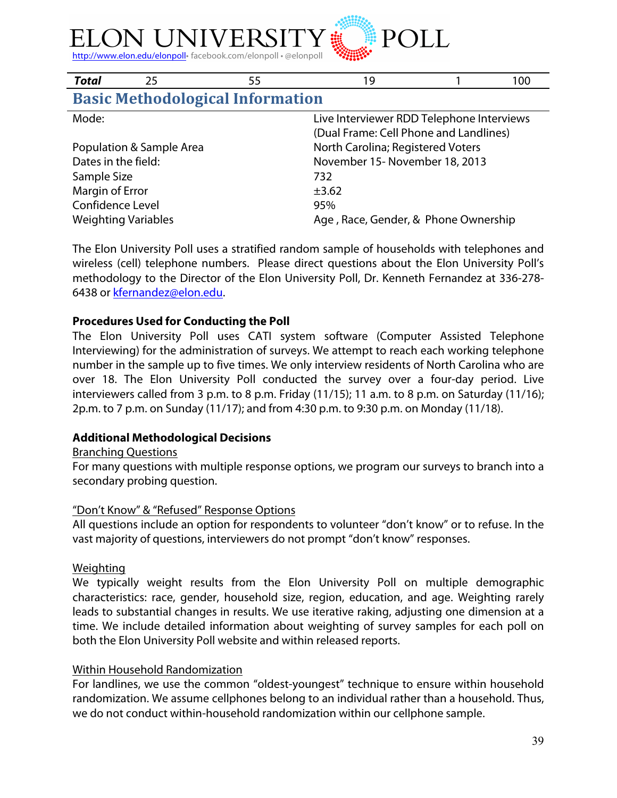

|                                         |  | http://www.elon.edu/elonpoll• facebook.com/elonpoll • @elonpoll | <b>PRODUCTION</b>                         |  |     |  |  |
|-----------------------------------------|--|-----------------------------------------------------------------|-------------------------------------------|--|-----|--|--|
| <b>Total</b>                            |  | 55                                                              | 19                                        |  | 100 |  |  |
| <b>Basic Methodological Information</b> |  |                                                                 |                                           |  |     |  |  |
| Mode:                                   |  |                                                                 | Live Interviewer RDD Telephone Interviews |  |     |  |  |

| ivioue:                    | Live interviewer RDD Telephone interviews |  |  |
|----------------------------|-------------------------------------------|--|--|
|                            | (Dual Frame: Cell Phone and Landlines)    |  |  |
| Population & Sample Area   | North Carolina; Registered Voters         |  |  |
| Dates in the field:        | November 15-November 18, 2013             |  |  |
| Sample Size                | 732                                       |  |  |
| Margin of Error            | $\pm 3.62$                                |  |  |
| Confidence Level           | 95%                                       |  |  |
| <b>Weighting Variables</b> | Age, Race, Gender, & Phone Ownership      |  |  |
|                            |                                           |  |  |

The Elon University Poll uses a stratified random sample of households with telephones and wireless (cell) telephone numbers. Please direct questions about the Elon University Poll's methodology to the Director of the Elon University Poll, Dr. Kenneth Fernandez at 336-278- 6438 or kfernandez@elon.edu.

### **Procedures Used for Conducting the Poll**

The Elon University Poll uses CATI system software (Computer Assisted Telephone Interviewing) for the administration of surveys. We attempt to reach each working telephone number in the sample up to five times. We only interview residents of North Carolina who are over 18. The Elon University Poll conducted the survey over a four-day period. Live interviewers called from 3 p.m. to 8 p.m. Friday (11/15); 11 a.m. to 8 p.m. on Saturday (11/16); 2p.m. to 7 p.m. on Sunday (11/17); and from 4:30 p.m. to 9:30 p.m. on Monday (11/18).

### **Additional Methodological Decisions**

### Branching Questions

For many questions with multiple response options, we program our surveys to branch into a secondary probing question.

### "Don't Know" & "Refused" Response Options

All questions include an option for respondents to volunteer "don't know" or to refuse. In the vast majority of questions, interviewers do not prompt "don't know" responses.

### Weighting

We typically weight results from the Elon University Poll on multiple demographic characteristics: race, gender, household size, region, education, and age. Weighting rarely leads to substantial changes in results. We use iterative raking, adjusting one dimension at a time. We include detailed information about weighting of survey samples for each poll on both the Elon University Poll website and within released reports.

### Within Household Randomization

For landlines, we use the common "oldest-youngest" technique to ensure within household randomization. We assume cellphones belong to an individual rather than a household. Thus, we do not conduct within-household randomization within our cellphone sample.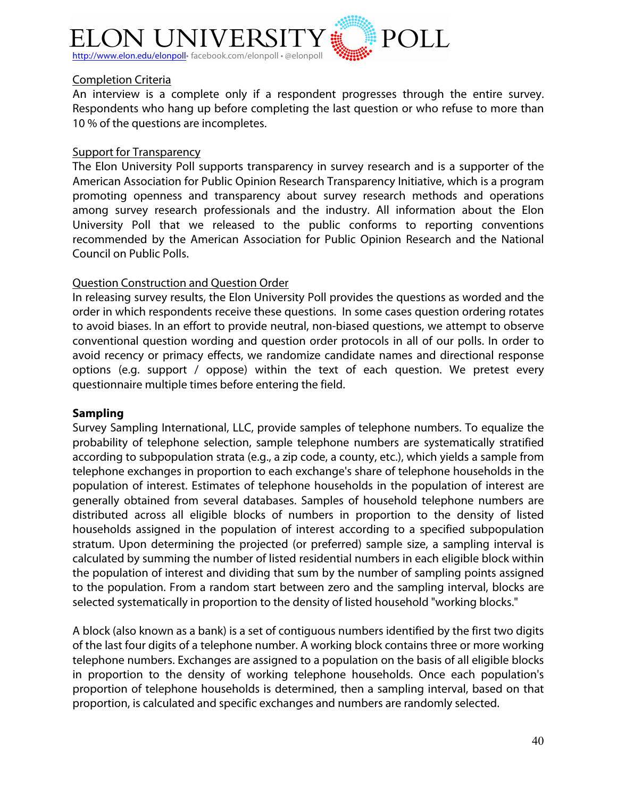

### Completion Criteria

An interview is a complete only if a respondent progresses through the entire survey. Respondents who hang up before completing the last question or who refuse to more than 10 % of the questions are incompletes.

#### Support for Transparency

The Elon University Poll supports transparency in survey research and is a supporter of the American Association for Public Opinion Research Transparency Initiative, which is a program promoting openness and transparency about survey research methods and operations among survey research professionals and the industry. All information about the Elon University Poll that we released to the public conforms to reporting conventions recommended by the American Association for Public Opinion Research and the National Council on Public Polls.

#### Question Construction and Question Order

In releasing survey results, the Elon University Poll provides the questions as worded and the order in which respondents receive these questions. In some cases question ordering rotates to avoid biases. In an effort to provide neutral, non-biased questions, we attempt to observe conventional question wording and question order protocols in all of our polls. In order to avoid recency or primacy effects, we randomize candidate names and directional response options (e.g. support / oppose) within the text of each question. We pretest every questionnaire multiple times before entering the field.

### **Sampling**

Survey Sampling International, LLC, provide samples of telephone numbers. To equalize the probability of telephone selection, sample telephone numbers are systematically stratified according to subpopulation strata (e.g., a zip code, a county, etc.), which yields a sample from telephone exchanges in proportion to each exchange's share of telephone households in the population of interest. Estimates of telephone households in the population of interest are generally obtained from several databases. Samples of household telephone numbers are distributed across all eligible blocks of numbers in proportion to the density of listed households assigned in the population of interest according to a specified subpopulation stratum. Upon determining the projected (or preferred) sample size, a sampling interval is calculated by summing the number of listed residential numbers in each eligible block within the population of interest and dividing that sum by the number of sampling points assigned to the population. From a random start between zero and the sampling interval, blocks are selected systematically in proportion to the density of listed household "working blocks."

A block (also known as a bank) is a set of contiguous numbers identified by the first two digits of the last four digits of a telephone number. A working block contains three or more working telephone numbers. Exchanges are assigned to a population on the basis of all eligible blocks in proportion to the density of working telephone households. Once each population's proportion of telephone households is determined, then a sampling interval, based on that proportion, is calculated and specific exchanges and numbers are randomly selected.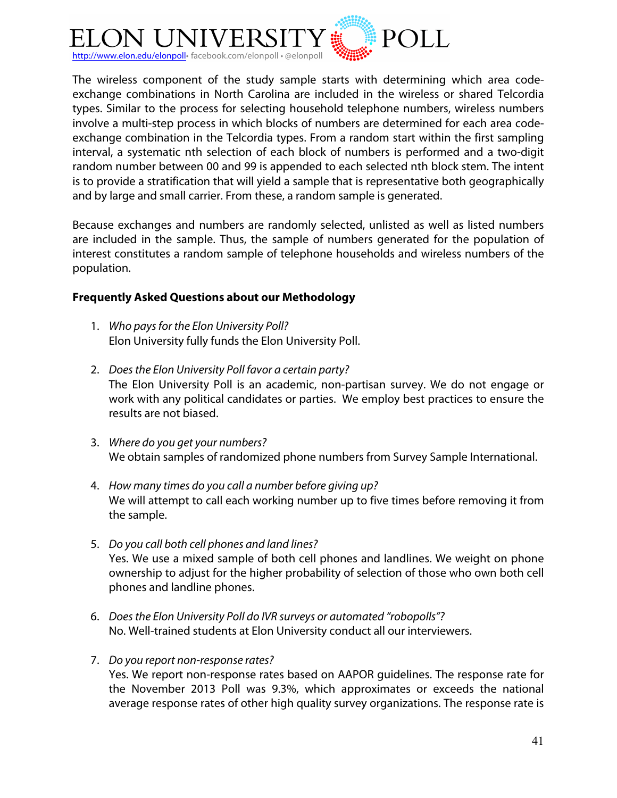

The wireless component of the study sample starts with determining which area codeexchange combinations in North Carolina are included in the wireless or shared Telcordia types. Similar to the process for selecting household telephone numbers, wireless numbers involve a multi-step process in which blocks of numbers are determined for each area codeexchange combination in the Telcordia types. From a random start within the first sampling interval, a systematic nth selection of each block of numbers is performed and a two-digit random number between 00 and 99 is appended to each selected nth block stem. The intent is to provide a stratification that will yield a sample that is representative both geographically and by large and small carrier. From these, a random sample is generated.

Because exchanges and numbers are randomly selected, unlisted as well as listed numbers are included in the sample. Thus, the sample of numbers generated for the population of interest constitutes a random sample of telephone households and wireless numbers of the population.

### **Frequently Asked Questions about our Methodology**

- 1. *Who pays for the Elon University Poll?* Elon University fully funds the Elon University Poll.
- 2. *Does the Elon University Poll favor a certain party?* The Elon University Poll is an academic, non-partisan survey. We do not engage or work with any political candidates or parties. We employ best practices to ensure the results are not biased.
- 3. *Where do you get your numbers?* We obtain samples of randomized phone numbers from Survey Sample International.
- 4. *How many times do you call a number before giving up?* We will attempt to call each working number up to five times before removing it from the sample.
- 5. *Do you call both cell phones and land lines?* Yes. We use a mixed sample of both cell phones and landlines. We weight on phone ownership to adjust for the higher probability of selection of those who own both cell phones and landline phones.
- 6. *Does the Elon University Poll do IVR surveys or automated "robopolls"?* No. Well-trained students at Elon University conduct all our interviewers.
- 7. *Do you report non-response rates?* Yes. We report non-response rates based on AAPOR guidelines. The response rate for the November 2013 Poll was 9.3%, which approximates or exceeds the national average response rates of other high quality survey organizations. The response rate is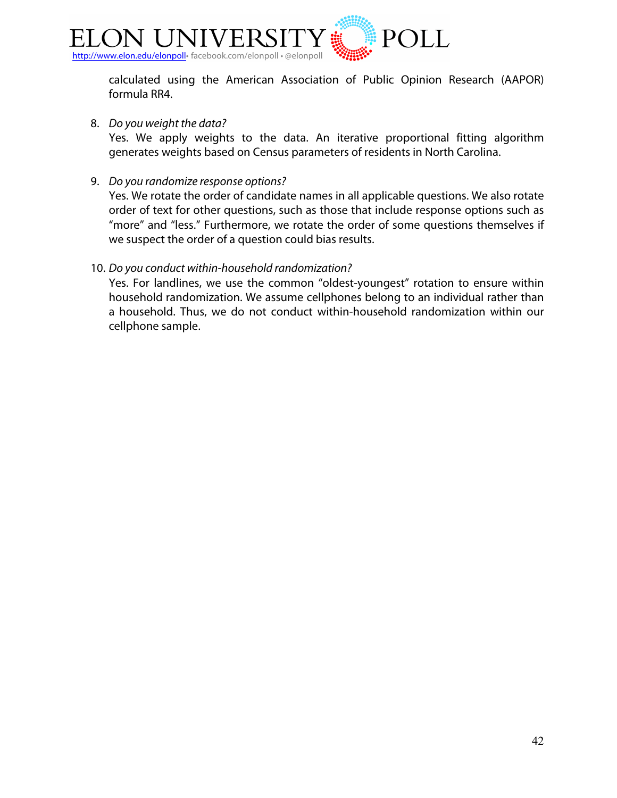

calculated using the American Association of Public Opinion Research (AAPOR) formula RR4.

8. *Do you weight the data?*

Yes. We apply weights to the data. An iterative proportional fitting algorithm generates weights based on Census parameters of residents in North Carolina.

9. *Do you randomize response options?*

Yes. We rotate the order of candidate names in all applicable questions. We also rotate order of text for other questions, such as those that include response options such as "more" and "less." Furthermore, we rotate the order of some questions themselves if we suspect the order of a question could bias results.

### 10. *Do you conduct within-household randomization?*

Yes. For landlines, we use the common "oldest-youngest" rotation to ensure within household randomization. We assume cellphones belong to an individual rather than a household. Thus, we do not conduct within-household randomization within our cellphone sample.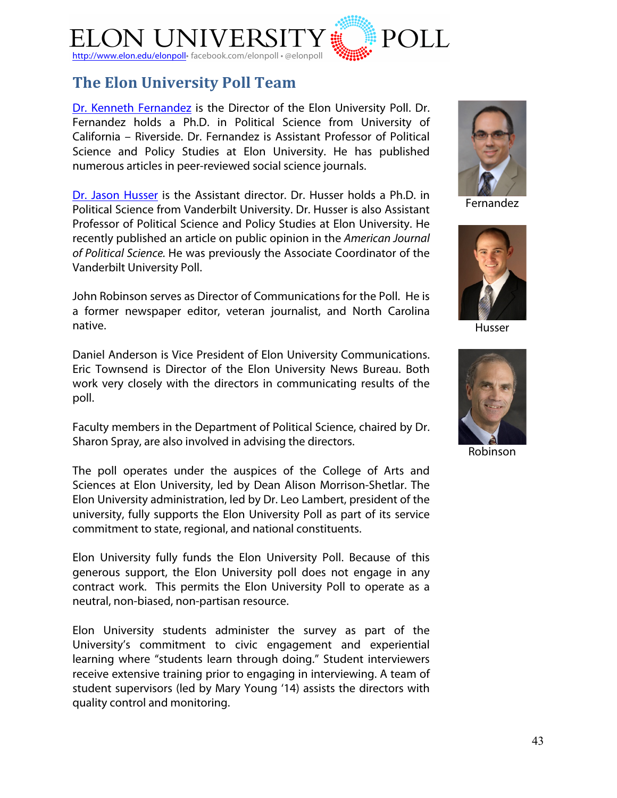

# **The Elon University Poll Team**

Dr. Kenneth Fernandez is the Director of the Elon University Poll. Dr. Fernandez holds a Ph.D. in Political Science from University of California – Riverside. Dr. Fernandez is Assistant Professor of Political Science and Policy Studies at Elon University. He has published numerous articles in peer-reviewed social science journals.

Dr. Jason Husser is the Assistant director. Dr. Husser holds a Ph.D. in Political Science from Vanderbilt University. Dr. Husser is also Assistant Professor of Political Science and Policy Studies at Elon University. He recently published an article on public opinion in the *American Journal of Political Science.* He was previously the Associate Coordinator of the Vanderbilt University Poll.

John Robinson serves as Director of Communications for the Poll. He is a former newspaper editor, veteran journalist, and North Carolina native.

Daniel Anderson is Vice President of Elon University Communications. Eric Townsend is Director of the Elon University News Bureau. Both work very closely with the directors in communicating results of the poll.

Faculty members in the Department of Political Science, chaired by Dr. Sharon Spray, are also involved in advising the directors.

The poll operates under the auspices of the College of Arts and Sciences at Elon University, led by Dean Alison Morrison-Shetlar. The Elon University administration, led by Dr. Leo Lambert, president of the university, fully supports the Elon University Poll as part of its service commitment to state, regional, and national constituents.

Elon University fully funds the Elon University Poll. Because of this generous support, the Elon University poll does not engage in any contract work. This permits the Elon University Poll to operate as a neutral, non-biased, non-partisan resource.

Elon University students administer the survey as part of the University's commitment to civic engagement and experiential learning where "students learn through doing." Student interviewers receive extensive training prior to engaging in interviewing. A team of student supervisors (led by Mary Young '14) assists the directors with quality control and monitoring.



Fernandez



Husser



Robinson